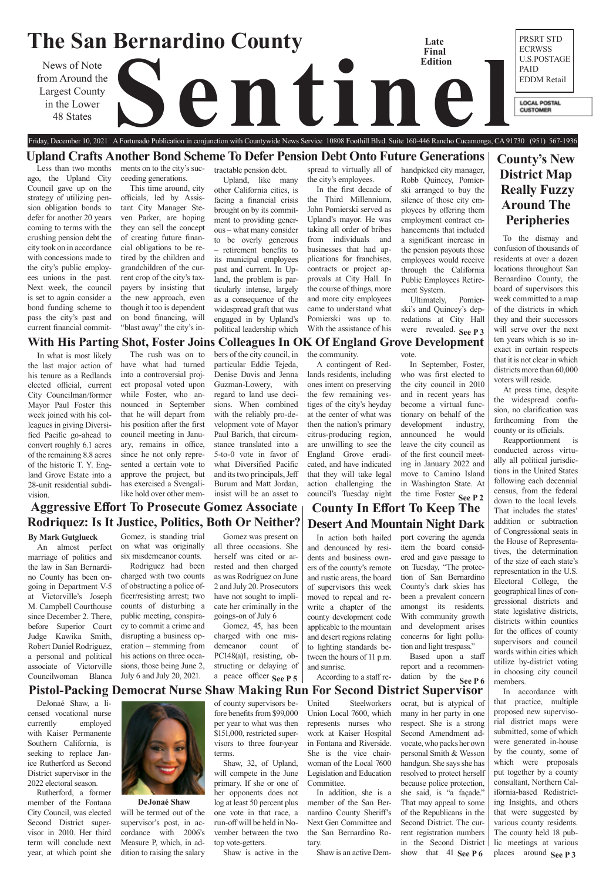

# Friday, December 10, 2021 A Fortunado Publication in conjunction with Countywide News Service 10808 Foothill Blvd. Suite 160-446 Rancho Cucamonga, CA 91730 (951) 567-1936

**County's New District Map**

# **County In Effort To Keep The Desert And Mountain Night Dark**

# **Aggressive Effort To Prosecute Gomez Associate Rodriquez: Is It Justice, Politics, Both Or Neither?**

## **With His Parting Shot, Foster Joins Colleagues In OK Of England Grove Development**

# **Pistol-Packing Democrat Nurse Shaw Making Run For Second District Supervisor**

# **Upland Crafts Another Bond Scheme To Defer Pension Debt Onto Future Generations**

### **By Mark Gutglueck**

An almost perfect marriage of politics and the law in San Bernardino County has been ongoing in Department V-5 at Victorville's Joseph M. Campbell Courthouse since December 2. There, before Superior Court Judge Kawika Smith, Robert Daniel Rodriguez, a personal and political associate of Victorville Councilwoman Blanca

Gomez, is standing trial on what was originally six misdemeanor counts.

Rodriguez had been charged with two counts of obstructing a police officer/resisting arrest; two counts of disturbing a public meeting, conspiracy to commit a crime and disrupting a business operation – stemming from his actions on three occasions, those being June 2, July 6 and July 20, 2021.

### the time Foster **See P2** In September, Foster, who was first elected to the city council in 2010 and in recent years has become a virtual functionary on behalf of the development industry, announced he would leave the city council as of the first council meeting in January 2022 and move to Camino Island in Washington State. At

In what is most likely the last major action of his tenure as a Redlands elected official, current City Councilman/former Mayor Paul Foster this week joined with his colleagues in giving Diversified Pacific go-ahead to convert roughly 6.1 acres of the remaining 8.8 acres of the historic T. Y. England Grove Estate into a 28-unit residential subdivision.

> Gomez, 45, has been charged with one misdemeanor count of PC148(a)1, resisting, obstructing or delaying of a peace officer See P 5

The rush was on to have what had turned into a controversial project proposal voted upon while Foster, who announced in September that he will depart from his position after the first council meeting in January, remains in office, since he not only represented a certain vote to approve the project, but has exercised a Svengalilike hold over other members of the city council, in particular Eddie Tejeda, Denise Davis and Jenna Guzman-Lowery, with regard to land use decisions. When combined with the reliably pro-development vote of Mayor Paul Barich, that circumstance translated into a 5-to-0 vote in favor of what Diversified Pacific and its two principals, Jeff Burum and Matt Jordan, insist will be an asset to

the community.

A contingent of Redlands residents, including ones intent on preserving the few remaining vestiges of the city's heyday at the center of what was then the nation's primary citrus-producing region, are unwilling to see the England Grove eradicated, and have indicated that they will take legal action challenging the council's Tuesday night

were revealed. See P 3 Ultimately, Pomier-

vote.

 **Really Fuzzy Around The Peripheries** To the dismay and confusion of thousands of residents at over a dozen

Gomez was present on all three occasions. She herself was cited or arrested and then charged as was Rodriguez on June 2 and July 20. Prosecutors have not sought to implicate her criminally in the goings-on of July 6

places around **See P 3** Reapportionment is conducted across virtually all political jurisdictions in the United States following each decennial census, from the federal down to the local levels. That includes the states' addition or subtraction of Congressional seats in the House of Representatives, the determination of the size of each state's representation in the U.S. Electoral College, the geographical lines of congressional districts and state legislative districts, districts within counties for the offices of county supervisors and council wards within cities which utilize by-district voting in choosing city council members. In accordance with that practice, multiple proposed new supervisorial district maps were submitted, some of which were generated in-house by the county, some of which were proposals put together by a county consultant, Northern California-based Redistricting Insights, and others that were suggested by various county residents. The county held 18 public meetings at various

Less than two months ago, the Upland City Council gave up on the strategy of utilizing pension obligation bonds to defer for another 20 years coming to terms with the crushing pension debt the city took on in accordance with concessions made to the city's public employees unions in the past. Next week, the council is set to again consider a bond funding scheme to pass the city's past and current financial commitments on to the city's succeeding generations.

### **DeJonaé Shaw**  will be termed out of the supervisor's post, in accordance with 2006's Measure P, which, in addition to raising the salary

This time around, city officials, led by Assistant City Manager Steven Parker, are hoping they can sell the concept of creating future financial obligations to be retired by the children and grandchildren of the current crop of the city's taxpayers by insisting that the new approach, even though it too is dependent on bond financing, will "blast away" the city's in-

> in the Second District show that 41 **See P 6**

tractable pension debt.

**See P 5** According to a staff re- dation by the **See P 6** According to a staff re-

Upland, like many other California cities, is facing a financial crisis brought on by its commitment to providing generous – what many consider to be overly generous – retirement benefits to its municipal employees past and current. In Upland, the problem is particularly intense, largely as a consequence of the widespread graft that was engaged in by Upland's political leadership which

spread to virtually all of the city's employees.

In the first decade of the Third Millennium, John Pomierski served as Upland's mayor. He was taking all order of bribes from individuals and businesses that had applications for franchises, contracts or project approvals at City Hall. In the course of things, more and more city employees came to understand what Pomierski was up to. With the assistance of his

handpicked city manager, Robb Quincey, Pomierski arranged to buy the silence of those city employees by offering them employment contract enhancements that included a significant increase in the pension payouts those employees would receive through the California Public Employees Retirement System.

ski's and Quincey's depredations at City Hall

locations throughout San Bernardino County, the board of supervisors this week committed to a map of the districts in which they and their successors will serve over the next ten years which is so inexact in certain respects that it is not clear in which districts more than 60,000 voters will reside.

At press time, despite the widespread confusion, no clarification was forthcoming from the county or its officials.

DeJonaé Shaw, a licensed vocational nurse currently employed with Kaiser Permanente Southern California, is seeking to replace Janice Rutherford as Second District supervisor in the 2022 electoral season.

Rutherford, a former member of the Fontana City Council, was elected Second District supervisor in 2010. Her third term will conclude next year, at which point she



of county supervisors before benefits from \$99,000 per year to what was then \$151,000, restricted supervisors to three four-year terms.

Shaw, 32, of Upland, will compete in the June primary. If she or one of her opponents does not log at least 50 percent plus one vote in that race, a run-off will be held in November between the two top vote-getters.

Shaw is active in the

United Steelworkers Union Local 7600, which represents nurses who work at Kaiser Hospital in Fontana and Riverside. She is the vice chairwoman of the Local 7600 Legislation and Education Committee.

In addition, she is a member of the San Bernardino County Sheriff's Next Gen Committee and the San Bernardino Rotary.

Shaw is an active Dem-

ocrat, but is atypical of

many in her party in one respect. She is a strong Second Amendment advocate, who packs her own personal Smith & Wesson handgun. She says she has resolved to protect herself because police protection, she said, is "a façade." That may appeal to some of the Republicans in the Second District. The current registration numbers

In action both hailed and denounced by residents and business owners of the county's remote and rustic areas, the board of supervisors this week moved to repeal and rewrite a chapter of the county development code applicable to the mountain and desert regions relating to lighting standards between the hours of 11 p.m. and sunrise.

port covering the agenda item the board considered and gave passage to on Tuesday, "The protection of San Bernardino County's dark skies has been a prevalent concern amongst its residents. With community growth and development arises concerns for light pollution and light trespass."

Based upon a staff report and a recommen-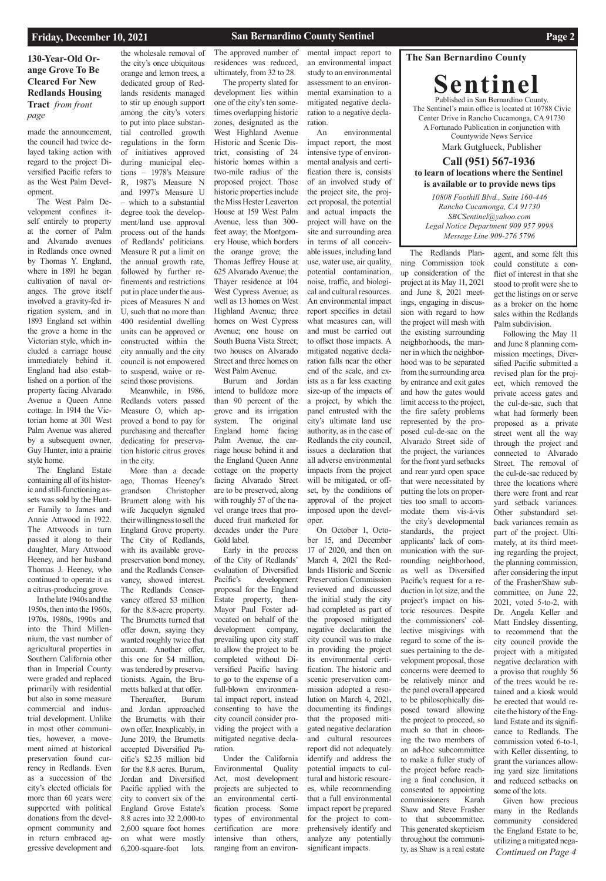**The San Bernardino County**

**Sentinel** Published in San Bernardino County. The Sentinel's main office is located at 10788 Civic Center Drive in Rancho Cucamonga, CA 91730 A Fortunado Publication in conjunction with Countywide News Service Mark Gutglueck, Publisher

**Call (951) 567-1936 to learn of locations where the Sentinel is available or to provide news tips** 

### **130-Year-Old Orange Grove To Be Cleared For New Redlands Housing Tract** *from front page*

*10808 Foothill Blvd., Suite 160-446 Rancho Cucamonga, CA 91730 SBCSentinel@yahoo.com Legal Notice Department 909 957 9998 Message Line 909-276 5796*

### **Friday, December 10, 2021**

### **San Bernardino County Sentinel <b>Page 2 Page 2**

made the announcement, the council had twice delayed taking action with regard to the project Diversified Pacific refers to as the West Palm Development.

The West Palm Development confines itself entirely to property at the corner of Palm and Alvarado avenues in Redlands once owned by Thomas Y. England, where in 1891 he began cultivation of naval oranges. The grove itself involved a gravity-fed irrigation system, and in 1893 England set within the grove a home in the Victorian style, which included a carriage house immediately behind it. England had also established on a portion of the property facing Alvarado Avenue a Queen Anne cottage. In 1914 the Victorian home at 301 West Palm Avenue was altered by a subsequent owner, Guy Hunter, into a prairie style home.

The England Estate containing all of its historic and still-functioning assets was sold by the Hunter Family to James and Annie Attwood in 1922. The Attwoods in turn passed it along to their daughter, Mary Attwood Heeney, and her husband Thomas J. Heeney, who continued to operate it as a citrus-producing grove.

In the late 1940s and the 1950s, then into the 1960s, 1970s, 1980s, 1990s and into the Third Millennium, the vast number of agricultural properties in Southern California other than in Imperial County were graded and replaced primarily with residential but also in some measure commercial and industrial development. Unlike in most other communities, however, a movement aimed at historical preservation found currency in Redlands. Even as a succession of the city's elected officials for more than 60 years were supported with political donations from the development community and in return embraced aggressive development and

the wholesale removal of the city's once ubiquitous orange and lemon trees, a dedicated group of Redlands residents managed to stir up enough support among the city's voters to put into place substantial controlled growth regulations in the form of initiatives approved during municipal elections – 1978's Measure R, 1987's Measure N and 1997's Measure U – which to a substantial degree took the development/land use approval process out of the hands of Redlands' politicians. Measure R put a limit on the annual growth rate, followed by further refinements and restrictions put in place under the auspices of Measures N and U, such that no more than 400 residential dwelling units can be approved or constructed within the city annually and the city council is not empowered to suspend, waive or rescind those provisions.

Meanwhile, in 1986, Redlands voters passed Measure O, which approved a bond to pay for purchasing and thereafter dedicating for preservation historic citrus groves in the city.

More than a decade ago, Thomas Heeney's grandson Christopher Brumett along with his wife Jacquelyn signaled their willingness to sell the England Grove property. The City of Redlands, with its available grovepreservation bond money, and the Redlands Conservancy, showed interest. The Redlands Conservancy offered \$3 million for the 8.8-acre property. The Brumetts turned that offer down, saying they wanted roughly twice that amount. Another offer, this one for \$4 million, was tendered by preservationists. Again, the Brumetts balked at that offer. Thereafter, Burum and Jordan approached the Brumetts with their own offer. Inexplicably, in June 2019, the Brumetts accepted Diversified Pacific's \$2.35 million bid for the 8.8 acres. Burum, Jordan and Diversified Pacific applied with the city to convert six of the England Grove Estate's 8.8 acres into 32 2,000-to 2,600 square foot homes on what were mostly 6,200-square-foot lots.

The approved number of residences was reduced, ultimately, from 32 to 28.

The property slated for development lies within one of the city's ten sometimes overlapping historic zones, designated as the West Highland Avenue Historic and Scenic District, consisting of 24 historic homes within a two-mile radius of the proposed project. Those historic properties include the Miss Hester Leaverton House at 159 West Palm Avenue, less than 300 feet away; the Montgomery House, which borders the orange grove; the Thomas Jeffrey House at 625 Alvarado Avenue; the Thayer residence at 104 West Cypress Avenue; as well as 13 homes on West Highland Avenue; three homes on West Cypress Avenue; one house on South Buena Vista Street; two houses on Alvarado Street and three homes on West Palm Avenue.

Burum and Jordan intend to bulldoze more than 90 percent of the grove and its irrigation system. The original England home facing Palm Avenue, the carriage house behind it and the England Queen Anne cottage on the property facing Alvarado Street are to be preserved, along with roughly 57 of the navel orange trees that produced fruit marketed for decades under the Pure Gold label.

*Continued on Page 4* Following the May 11 and June 8 planning commission meetings, Diversified Pacific submitted a revised plan for the project, which removed the private access gates and the cul-de-sac, such that what had formerly been proposed as a private street went all the way through the project and connected to Alvarado Street. The removal of the cul-de-sac reduced by three the locations where there were front and rear yard setback variances. Other substandard setback variances remain as part of the project. Ultimately, at its third meeting regarding the project, the planning commission, after considering the input of the Frasher/Shaw subcommittee, on June 22, 2021, voted 5-to-2, with Dr. Angela Keller and Matt Endsley dissenting, to recommend that the city council provide the project with a mitigated negative declaration with a proviso that roughly 56 of the trees would be retained and a kiosk would be erected that would recite the history of the England Estate and its significance to Redlands. The commission voted 6-to-1, with Keller dissenting, to grant the variances allowing yard size limitations and reduced setbacks on some of the lots. Given how precious many in the Redlands community considered the England Estate to be, utilizing a mitigated nega-

Early in the process of the City of Redlands' evaluation of Diversified Pacific's development proposal for the England Estate property, then-Mayor Paul Foster advocated on behalf of the development company, prevailing upon city staff to allow the project to be completed without Diversified Pacific having to go to the expense of a full-blown environmental impact report, instead consenting to have the city council consider providing the project with a mitigated negative declaration. Under the California Environmental Quality Act, most development projects are subjected to an environmental certification process. Some types of environmental certification are more intensive than others, ranging from an environmental impact report to an environmental impact study to an environmental assessment to an environmental examination to a mitigated negative declaration to a negative declaration.

An environmental impact report, the most intensive type of environmental analysis and certification there is, consists of an involved study of the project site, the project proposal, the potential and actual impacts the project will have on the site and surrounding area in terms of all conceivable issues, including land use, water use, air quality, potential contamination, noise, traffic, and biological and cultural resources. An environmental impact report specifies in detail what measures can, will and must be carried out to offset those impacts. A mitigated negative declaration falls near the other end of the scale, and exists as a far less exacting size-up of the impacts of a project, by which the panel entrusted with the city's ultimate land use authority, as in the case of Redlands the city council, issues a declaration that all adverse environmental impacts from the project will be mitigated, or offset, by the conditions of approval of the project imposed upon the developer.

On October 1, October 15, and December 17 of 2020, and then on March 4, 2021 the Redlands Historic and Scenic Preservation Commission reviewed and discussed the initial study the city had completed as part of the proposed mitigated negative declaration the city council was to make in providing the project its environmental certification. The historic and scenic preservation commission adopted a resolution on March 4, 2021, documenting its findings that the proposed mitigated negative declaration and cultural resources report did not adequately identify and address the potential impacts to cultural and historic resources, while recommending that a full environmental impact report be prepared for the project to comprehensively identify and analyze any potentially significant impacts.

The Redlands Plan-

ning Commission took up consideration of the project at its May 11, 2021 and June 8, 2021 meetings, engaging in discussion with regard to how the project will mesh with the existing surrounding neighborhoods, the manner in which the neighborhood was to be separated from the surrounding area by entrance and exit gates and how the gates would limit access to the project, the fire safety problems represented by the proposed cul-de-sac on the Alvarado Street side of the project, the variances for the front yard setbacks and rear yard open space that were necessitated by putting the lots on properties too small to accommodate them vis-à-vis the city's developmental standards, the project applicants' lack of communication with the surrounding neighborhood, as well as Diversified Pacific's request for a reduction in lot size, and the project's impact on historic resources. Despite the commissioners' collective misgivings with regard to some of the issues pertaining to the development proposal, those concerns were deemed to be relatively minor and the panel overall appeared to be philosophically disposed toward allowing the project to proceed, so much so that in choosing the two members of an ad-hoc subcommittee to make a fuller study of the project before reaching a final conclusion, it consented to appointing commissioners Karah Shaw and Steve Frasher to that subcommittee. This generated skepticism throughout the community, as Shaw is a real estate

agent, and some felt this could constitute a conflict of interest in that she stood to profit were she to get the listings on or serve as a broker on the home sales within the Redlands Palm subdivision.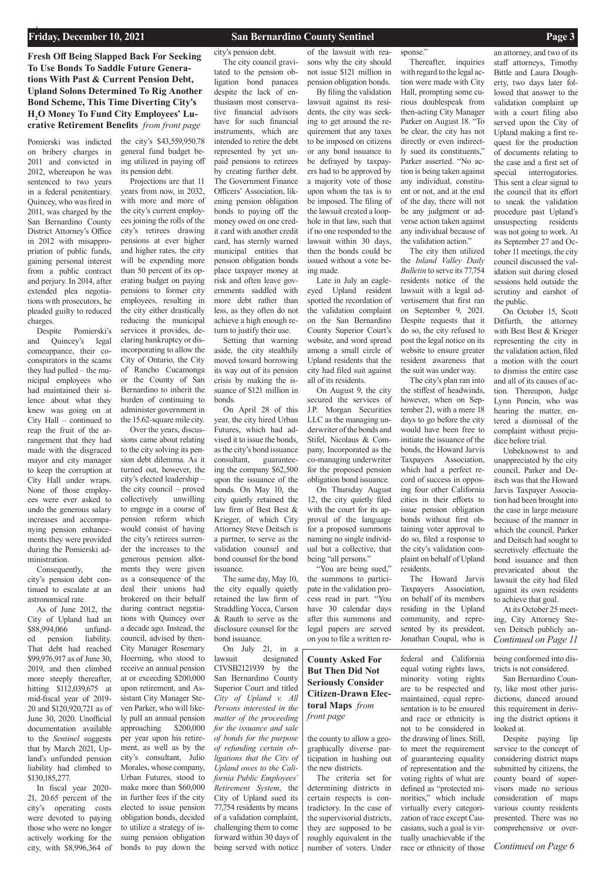**Fresh Off Being Slapped Back For Seeking To Use Bonds To Saddle Future Generations With Past & Current Pension Debt, Upland Solons Determined To Rig Another Bond Scheme, This Time Diverting City's H2 O Money To Fund City Employees' Lucrative Retirement Benefits** *from front page*

Pomierski was indicted on bribery charges in 2011 and convicted in 2012, whereupon he was sentenced to two years in a federal penitentiary. Quincey, who was fired in 2011, was charged by the San Bernardino County District Attorney's Office in 2012 with misappropriation of public funds, gaining personal interest from a public contract and perjury. In 2014, after extended plea negotiations with prosecutors, he pleaded guilty to reduced charges.

Despite Pomierski's and Quincey's legal comeuppance, their coconspirators in the scams they had pulled – the municipal employees who had maintained their silence about what they knew was going on at City Hall – continued to reap the fruit of the arrangement that they had made with the disgraced mayor and city manager to keep the corruption at City Hall under wraps. None of those employees were ever asked to undo the generous salary increases and accompanying pension enhancements they were provided during the Pomierski administration.

Consequently, the city's pension debt continued to escalate at an astronomical rate.

As of June 2012, the City of Upland had an \$88,994,066 unfunded pension liability. That debt had reached \$99,976,917 as of June 30, 2019, and then climbed more steeply thereafter,

hitting \$112,039,675 at mid-fiscal year of 2019- 20 and \$120,920,721 as of June 30, 2020. Unofficial documentation available to the *Sentinel* suggests that by March 2021, Upland's unfunded pension liability had climbed to \$130,185,277.

In fiscal year 2020- 21, 20.65 percent of the city's operating costs were devoted to paying those who were no longer actively working for the city, with \$8,996,364 of the city's \$43,559,950.78 general fund budget being utilized in paying off its pension debt.

Projections are that 11 years from now, in 2032, with more and more of the city's current employees joining the rolls of the city's retirees drawing pensions at ever higher and higher rates, the city will be expending more than 50 percent of its operating budget on paying pensions to former city employees, resulting in the city either drastically reducing the municipal services it provides, declaring bankruptcy or disincorporating to allow the City of Ontario, the City of Rancho Cucamonga or the County of San Bernardino to inherit the burden of continuing to administer government in the 15.62-square mile city.

Over the years, discussions came about relating to the city solving its pension debt dilemma. As it turned out, however, the city's elected leadership – the city council – proved collectively unwilling to engage in a course of pension reform which would consist of having the city's retirees surrender the increases to the generous pension allotments they were given as a consequence of the deal their unions had brokered on their behalf during contract negotiations with Quincey over a decade ago. Instead, the council, advised by then-City Manager Rosemary Hoerning, who stood to receive an annual pension at or exceeding \$200,000 upon retirement, and Assistant City Manager Steven Parker, who will likely pull an annual pension approaching \$200,000 per year upon his retirement, as well as by the city's consultant, Julio Morales, whose company, Urban Futures, stood to make more than \$60,000 in further fees if the city elected to issue pension obligation bonds, decided to utilize a strategy of issuing pension obligation bonds to pay down the

### **Friday, December 10, 2021** 1 **San Bernardino County Sentinel Page 3**

On Thursday August 12, the city quietly filed with the court for its approval of the language for a proposed summons naming no single individual but a collective, that being "all persons."

city's pension debt.

The city council gravitated to the pension obligation bond panacea despite the lack of enthusiasm most conservative financial advisors have for such financial instruments, which are intended to retire the debt represented by yet unpaid pensions to retirees by creating further debt. The Government Finance Officers' Association, likening pension obligation bonds to paying off the money owed on one credit card with another credit card, has sternly warned municipal entities that pension obligation bonds place taxpayer money at risk and often leave governments saddled with more debt rather than less, as they often do not achieve a high enough return to justify their use.

Setting that warning aside, the city stealthily moved toward borrowing its way out of its pension crisis by making the issuance of \$121 million in bonds.

On April 28 of this year, the city hired Urban Futures, which had advised it to issue the bonds, as the city's bond issuance consultant, guaranteeing the company \$62,500 upon the issuance of the bonds. On May 10, the city quietly retained the law firm of Best Best & Krieger, of which City Attorney Steve Deitsch is a partner, to serve as the validation counsel and bond counsel for the bond issuance.

> *Continued on Page 11* At its October 25 meeting, City Attorney Steven Deitsch publicly an-

The same day, May 10, the city equally quietly retained the law firm of Straddling Yocca, Carson & Rauth to serve as the disclosure counsel for the bond issuance.

On July 21, in a lawsuit designated CIVSB2121939 by the San Bernardino County Superior Court and titled *City of Upland v. All Persons interested in the matter of the proceeding for the issuance and sale of bonds for the purpose of refunding certain obligations that the City of Upland owes to the California Public Employees' Retirement System*, the City of Upland sued its 77,754 residents by means of a validation complaint, challenging them to come forward within 30 days of being served with notice

of the lawsuit with reasons why the city should not issue \$121 million in pension obligation bonds.

By filing the validation lawsuit against its residents, the city was seeking to get around the requirement that any taxes to be imposed on citizens or any bond issuance to be defrayed by taxpayers had to be approved by a majority vote of those upon whom the tax is to be imposed. The filing of the lawsuit created a loophole in that law, such that if no one responded to the lawsuit within 30 days, then the bonds could be issued without a vote being made.

Late in July an eagleeyed Upland resident spotted the recordation of the validation complaint on the San Bernardino County Superior Court's website, and word spread among a small circle of Upland residents that the city had filed suit against all of its residents.

On August 9, the city secured the services of J.P. Morgan Securities LLC as the managing underwriter of the bonds and Stifel, Nicolaus & Company, Incorporated as the co-managing underwriter for the proposed pension obligation bond issuance.

"You are being sued," the summons to participate in the validation process read in part. "You have 30 calendar days after this summons and legal papers are served on you to file a written re-

Thereafter, inquiries with regard to the legal action were made with City Hall, prompting some curious doublespeak from then-acting City Manager Parker on August 18. "To be clear, the city has not directly or even indirectly sued its constituents," Parker asserted. "No action is being taken against any individual, constituent or not, and at the end of the day, there will not be any judgment or adverse action taken against any individual because of the validation action."

The city then utilized the *Inland Valley Daily Bulletin* to serve its 77,754 residents notice of the lawsuit with a legal advertisement that first ran on September 9, 2021. Despite requests that it do so, the city refused to post the legal notice on its website to ensure greater resident awareness that the suit was under way.

The city's plan ran into the stiffest of headwinds, however, when on September 21, with a mere 18 days to go before the city would have been free to initiate the issuance of the bonds, the Howard Jarvis Taxpayers Association, which had a perfect record of success in opposing four other California cities in their efforts to issue pension obligation bonds without first obtaining voter approval to do so, filed a response to the city's validation complaint on behalf of Upland residents.

The Howard Jarvis Taxpayers Association, on behalf of its members residing in the Upland community, and represented by its president, Jonathan Coupal, who is

an attorney, and two of its staff attorneys, Timothy Bittle and Laura Dougherty, two days later followed that answer to the validation complaint up with a court filing also served upon the City of Upland making a first request for the production of documents relating to the case and a first set of special interrogatories. This sent a clear signal to the council that its effort to sneak the validation procedure past Upland's unsuspecting residents was not going to work. At its September 27 and October 11 meetings, the city council discussed the validation suit during closed sessions held outside the scrutiny and earshot of the public.

On October 15, Scott Ditfurth, the attorney with Best Best & Krieger representing the city in the validation action, filed a motion with the court to dismiss the entire case and all of its causes of action. Thereupon, Judge Lynn Poncin, who was hearing the matter, entered a dismissal of the complaint without prejudice before trial.

Unbeknownst to and unappreciated by the city council, Parker and Deitsch was that the Howard Jarvis Taxpayer Association had been brought into the case in large measure because of the manner in which the council, Parker and Deitsch had sought to secretively effectuate the bond issuance and then prevaricated about the lawsuit the city had filed against its own residents to achieve that goal.

the county to allow a geographically diverse participation in hashing out the new districts.

federal and California equal voting rights laws, minority voting rights are to be respected and maintained, equal representation is to be ensured and race or ethnicity is not to be considered in the drawing of lines. Still, to meet the requirement of guaranteeing equality

The criteria set for determining districts in certain respects is contradictory. In the case of the supervisorial districts, they are supposed to be roughly equivalent in the number of voters. Under of representation and the voting rights of what are defined as "protected minorities," which include virtually every categorization of race except Caucasians, such a goal is virtually unachievable if the race or ethnicity of those being conformed into districts is not considered.

San Bernardino County, like most other jurisdictions, danced around this requirement in deriving the district options it looked at. Despite paying lip service to the concept of considering district maps submitted by citizens, the county board of supervisors made no serious consideration of maps various county residents presented. There was no comprehensive or over-

*Continued on Page 6*

**County Asked For But Then Did Not Seriously Consider**  sponse."

**Citizen-Drawn Electoral Maps** *from front page*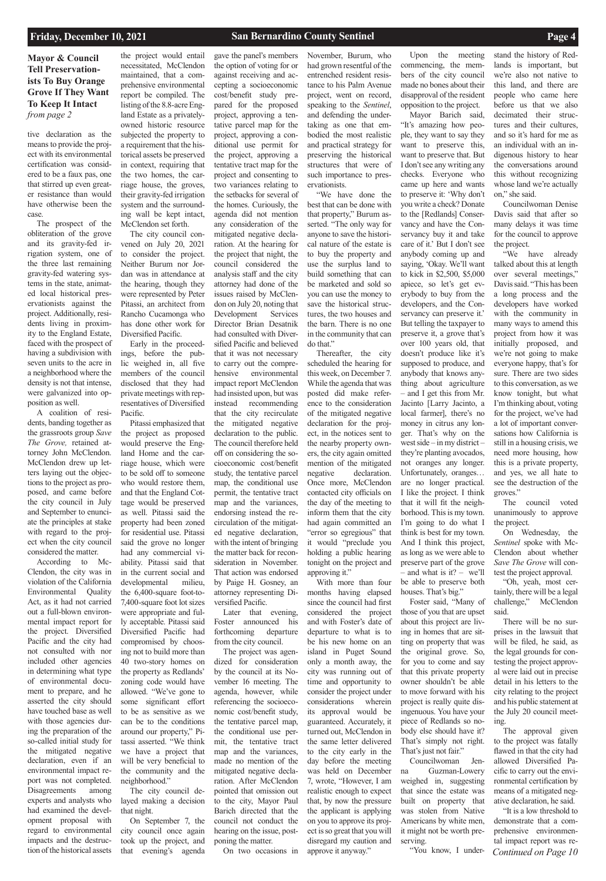## **Mayor & Council Tell Preservationists To Buy Orange Grove If They Want To Keep It Intact**  *from page 2*

tive declaration as the means to provide the project with its environmental certification was considered to be a faux pas, one that stirred up even greater resistance than would have otherwise been the case.

The prospect of the obliteration of the grove and its gravity-fed irrigation system, one of the three last remaining gravity-fed watering systems in the state, animated local historical preservationists against the project. Additionally, residents living in proximity to the England Estate, faced with the prospect of having a subdivision with seven units to the acre in a neighborhood where the density is not that intense, were galvanized into opposition as well.

A coalition of residents, banding together as the grassroots group *Save The Grove,* retained attorney John McClendon. McClendon drew up letters laying out the objections to the project as proposed, and came before the city council in July and September to enunciate the principles at stake with regard to the project when the city council considered the matter.

According to Mc-Clendon, the city was in violation of the California Environmental Quality Act, as it had not carried out a full-blown environmental impact report for the project. Diversified Pacific and the city had not consulted with nor included other agencies in determining what type of environmental document to prepare, and he asserted the city should have touched base as well with those agencies during the preparation of the so-called initial study for the mitigated negative declaration, even if an environmental impact report was not completed. Disagreements among experts and analysts who had examined the development proposal with regard to environmental impacts and the destruction of the historical assets

the project would entail necessitated, McClendon maintained, that a comprehensive environmental report be compiled. The listing of the 8.8-acre England Estate as a privatelyowned historic resource subjected the property to a requirement that the historical assets be preserved in context, requiring that the two homes, the carriage house, the groves, their gravity-fed irrigation system and the surrounding wall be kept intact, McClendon set forth.

The city council convened on July 20, 2021 to consider the project. Neither Burum nor Jordan was in attendance at the hearing, though they were represented by Peter Pitassi, an architect from Rancho Cucamonga who has done other work for Diversified Pacific.

Early in the proceedings, before the public weighed in, all five members of the council disclosed that they had private meetings with representatives of Diversified Pacific.

Pitassi emphasized that the project as proposed would preserve the England Home and the carriage house, which were to be sold off to someone who would restore them, and that the England Cottage would be preserved as well. Pitassi said the property had been zoned for residential use. Pitassi said the grove no longer had any commercial viability. Pitassi said that in the current social and developmental milieu, the 6,400-square foot-to-7,400-square foot lot sizes were appropriate and fully acceptable. Pitassi said Diversified Pacific had compromised by choosing not to build more than 40 two-story homes on the property as Redlands' zoning code would have allowed. "We've gone to some significant effort to be as sensitive as we can be to the conditions around our property," Pitassi asserted. "We think we have a project that will be very beneficial to the community and the neighborhood." The city council delayed making a decision that night. On September 7, the city council once again took up the project, and that evening's agenda

gave the panel's members

the option of voting for or against receiving and accepting a socioeconomic cost/benefit study prepared for the proposed project, approving a tentative parcel map for the project, approving a conditional use permit for the project, approving a tentative tract map for the project and consenting to two variances relating to the setbacks for several of the homes. Curiously, the agenda did not mention any consideration of the mitigated negative declaration. At the hearing for the project that night, the council considered the analysis staff and the city attorney had done of the issues raised by McClendon on July 20, noting that Development Services Director Brian Desatnik had consulted with Diversified Pacific and believed that it was not necessary to carry out the comprehensive environmental impact report McClendon had insisted upon, but was instead recommending that the city recirculate the mitigated negative declaration to the public. The council therefore held off on considering the socioeconomic cost/benefit study, the tentative parcel map, the conditional use permit, the tentative tract map and the variances, endorsing instead the recirculation of the mitigated negative declaration, with the intent of bringing the matter back for reconsideration in November. That action was endorsed by Paige H. Gosney, an attorney representing Diversified Pacific.

Later that evening, Foster announced his forthcoming departure from the city council.

The project was agendized for consideration by the council at its November 16 meeting. The agenda, however, while referencing the socioeconomic cost/benefit study, the tentative parcel map, the conditional use permit, the tentative tract map and the variances, made no mention of the mitigated negative declaration. After McClendon pointed that omission out to the city, Mayor Paul Barich directed that the council not conduct the hearing on the issue, postponing the matter. On two occasions in *Continued on Page 10* There will be no surprises in the lawsuit that will be filed, he said, as the legal grounds for contesting the project approval were laid out in precise detail in his letters to the city relating to the project and his public statement at the July 20 council meet-The approval given to the project was fatally flawed in that the city had allowed Diversified Pacific to carry out the environmental certification by means of a mitigated negative declaration, he said. "It is a low threshold to demonstrate that a comprehensive environmental impact report was re-

November, Burum, who had grown resentful of the entrenched resident resistance to his Palm Avenue project, went on record, speaking to the *Sentinel*, and defending the undertaking as one that embodied the most realistic and practical strategy for preserving the historical structures that were of such importance to preservationists.

"We have done the best that can be done with that property," Burum asserted. "The only way for anyone to save the historical nature of the estate is to buy the property and use the surplus land to build something that can be marketed and sold so you can use the money to save the historical structures, the two houses and the barn. There is no one in the community that can do that."

Thereafter, the city scheduled the hearing for this week, on December 7. While the agenda that was posted did make reference to the consideration of the mitigated negative declaration for the project, in the notices sent to the nearby property owners, the city again omitted mention of the mitigated negative declaration. Once more, McClendon contacted city officials on the day of the meeting to inform them that the city had again committed an "error so egregious" that it would "preclude you holding a public hearing tonight on the project and approving it."

Upon the meeting commencing, the members of the city council made no bones about their disapproval of the resident opposition to the project.

With more than four months having elapsed since the council had first considered the project and with Foster's date of departure to what is to be his new home on an island in Puget Sound only a month away, the city was running out of time and opportunity to consider the project under considerations wherein its approval would be guaranteed. Accurately, it turned out, McClendon in the same letter delivered to the city early in the day before the meeting was held on December 7, wrote, "However, I am realistic enough to expect that, by now the pressure the applicant is applying on you to approve its project is so great that you will disregard my caution and approve it anyway." houses. That's big." serving. "You know, I under-

Mayor Barich said, "It's amazing how people, they want to say they want to preserve this, want to preserve that. But I don't see any writing any checks. Everyone who came up here and wants to preserve it: 'Why don't you write a check? Donate to the [Redlands] Conservancy and have the Conservancy buy it and take care of it.' But I don't see anybody coming up and saying, 'Okay. We'll want to kick in \$2,500, \$5,000 apiece, so let's get everybody to buy from the developers, and the Conservancy can preserve it.' But telling the taxpayer to preserve it, a grove that's over 100 years old, that doesn't produce like it's supposed to produce, and anybody that knows anything about agriculture – and I get this from Mr. Jacinto [Larry Jacinto, a local farmer], there's no money in citrus any longer. That's why on the west side – in my district – they're planting avocados, not oranges any longer. Unfortunately, oranges… are no longer practical. I like the project. I think that it will fit the neighborhood. This is my town. I'm going to do what I think is best for my town. And I think this project, as long as we were able to preserve part of the grove – and what is it? – we'll be able to preserve both

Foster said, "Many of those of you that are upset about this project are living in homes that are sitting on property that was the original grove. So, for you to come and say that this private property owner shouldn't be able

stand the history of Redlands is important, but we're also not native to this land, and there are people who came here before us that we also decimated their structures and their cultures, and so it's hard for me as an individual with an indigenous history to hear the conversations around this without recognizing whose land we're actually on," she said.

Councilwoman Denise Davis said that after so many delays it was time for the council to approve the project.

to move forward with his project is really quite disingenuous. You have your piece of Redlands so nobody else should have it? That's simply not right. That's just not fair." Councilwoman Jenna Guzman-Lowery weighed in, suggesting that since the estate was built on property that was stolen from Native Americans by white men, it might not be worth preing.

"We have already talked about this at length over several meetings," Davis said. "This has been a long process and the developers have worked with the community in many ways to amend this project from how it was initially proposed, and we're not going to make everyone happy, that's for sure. There are two sides to this conversation, as we know tonight, but what I'm thinking about, voting for the project, we've had a lot of important conversations how California is still in a housing crisis, we need more housing, how this is a private property, and yes, we all hate to see the destruction of the groves."

The council voted unanimously to approve the project.

On Wednesday, the *Sentinel* spoke with Mc-Clendon about whether *Save The Grove* will contest the project approval.

"Oh, yeah, most certainly, there will be a legal challenge," McClendon said.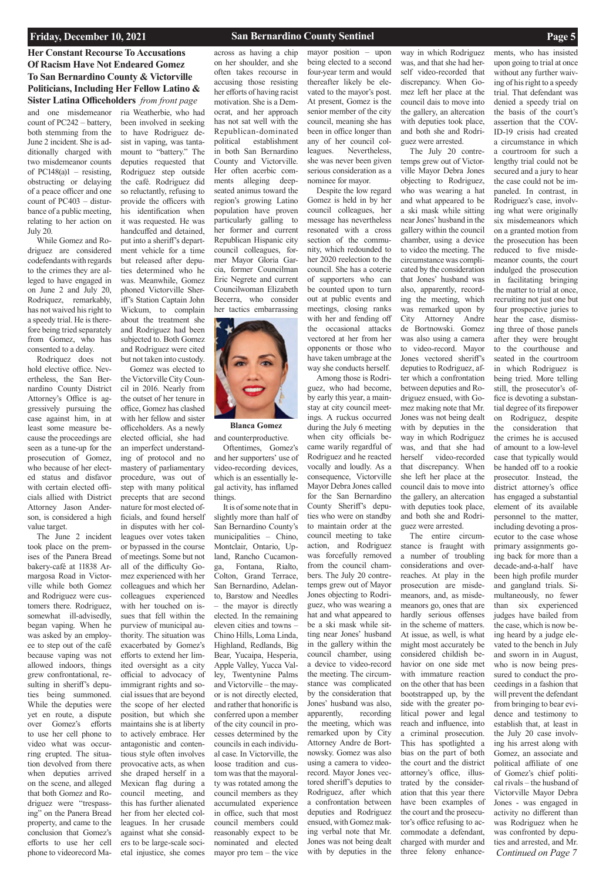**Blanca Gomez**

## **Her Constant Recourse To Accusations Of Racism Have Not Endeared Gomez To San Bernardino County & Victorville Politicians, Including Her Fellow Latino & Sister Latina Officeholders** *from front page*

and one misdemeanor count of PC242 – battery, both stemming from the June 2 incident. She is additionally charged with two misdemeanor counts of  $PC148(a)1$  – resisting, obstructing or delaying of a peace officer and one count of PC403 – disturbance of a public meeting, relating to her action on July 20.

While Gomez and Rodriguez are considered codefendants with regards to the crimes they are alleged to have engaged in on June 2 and July 20, Rodriquez, remarkably, has not waived his right to a speedy trial. He is therefore being tried separately from Gomez, who has consented to a delay.

Rodriquez does not hold elective office. Nevertheless, the San Bernardino County District Attorney's Office is aggressively pursuing the case against him, in at least some measure because the proceedings are seen as a tune-up for the prosecution of Gomez, who because of her elected status and disfavor with certain elected officials allied with District Attorney Jason Anderson, is considered a high value target.

The June 2 incident took place on the premises of the Panera Bread bakery-café at 11838 Armargosa Road in Victorville while both Gomez and Rodriguez were customers there. Rodriguez, somewhat ill-advisedly, began vaping. When he was asked by an employee to step out of the café because vaping was not allowed indoors, things grew confrontational, resulting in sheriff's deputies being summoned. While the deputies were yet en route, a dispute over Gomez's efforts to use her cell phone to video what was occurring erupted. The situation devolved from there when deputies arrived on the scene, and alleged that both Gomez and Rodriguez were "trespassing" on the Panera Bread property, and came to the conclusion that Gomez's efforts to use her cell phone to videorecord Maria Weatherbie, who had been involved in seeking to have Rodriguez desist in vaping, was tantamount to "battery." The deputies requested that Rodriguez step outside the café. Rodriguez did so reluctantly, refusing to provide the officers with his identification when it was requested. He was handcuffed and detained, put into a sheriff's department vehicle for a time but released after deputies determined who he was. Meanwhile, Gomez phoned Victorville Sheriff's Station Captain John Wickum, to complain about the treatment she and Rodriguez had been subjected to. Both Gomez and Rodriguez were cited but not taken into custody.

Gomez was elected to the Victorville City Council in 2016. Nearly from the outset of her tenure in office, Gomez has clashed with her fellow and sister officeholders. As a newly elected official, she had an imperfect understanding of protocol and no mastery of parliamentary procedure, was out of step with many political precepts that are second nature for most elected officials, and found herself in disputes with her colleagues over votes taken or bypassed in the course of meetings. Some but not all of the difficulty Gomez experienced with her colleagues and which her colleagues experienced with her touched on issues that fell within the purview of municipal authority. The situation was exacerbated by Gomez's efforts to extend her limited oversight as a city official to advocacy of immigrant rights and social issues that are beyond the scope of her elected position, but which she maintains she is at liberty to actively embrace. Her antagonistic and contentious style often involves provocative acts, as when she draped herself in a Mexican flag during a council meeting, and this has further alienated her from her elected colleagues. In her crusade against what she considers to be large-scale societal injustice, she comes

### across as having a chip on her shoulder, and she often takes recourse in accusing those resisting her efforts of having racist motivation. She is a Democrat, and her approach has not sat well with the Republican-dominated political establishment in both San Bernardino County and Victorville. Her often acerbic comments alleging deepseated animus toward the region's growing Latino population have proven particularly galling to her former and current Republican Hispanic city council colleagues, former Mayor Gloria Garcia, former Councilman Eric Negrete and current Councilwoman Elizabeth Becerra, who consider her tactics embarrassing



mayor position – upon being elected to a second four-year term and would thereafter likely be elevated to the mayor's post. At present, Gomez is the senior member of the city council, meaning she has been in office longer than any of her council colleagues. Nevertheless, she was never been given serious consideration as a nominee for mayor.

Despite the low regard Gomez is held in by her council colleagues, her message has nevertheless resonated with a cross section of the community, which redounded to her 2020 reelection to the council. She has a coterie of supporters who can be counted upon to turn out at public events and meetings, closing ranks with her and fending off the occasional attacks vectored at her from her opponents or those who have taken umbrage at the way she conducts herself.

*Continued on Page 7* ments, who has insisted upon going to trial at once without any further waiving of his right to a speedy trial. That defendant was denied a speedy trial on the basis of the court's assertion that the COV-ID-19 crisis had created a circumstance in which a courtroom for such a lengthy trial could not be secured and a jury to hear the case could not be impaneled. In contrast, in Rodriguez's case, involving what were originally six misdemeanors which on a granted motion from the prosecution has been reduced to five misdemeanor counts, the court indulged the prosecution in facilitating bringing the matter to trial at once, recruiting not just one but four prospective juries to hear the case, dismissing three of those panels after they were brought to the courthouse and seated in the courtroom in which Rodriguez is being tried. More telling still, the prosecutor's office is devoting a substantial degree of its firepower on Rodriguez, despite the consideration that the crimes he is accused of amount to a low-level case that typically would be handed off to a rookie prosecutor. Instead, the district attorney's office has engaged a substantial element of its available personnel to the matter, including devoting a prosecutor to the case whose primary assignments going back for more than a decade-and-a-half have been high profile murder and gangland trials. Simultaneously, no fewer than six experienced judges have bailed from the case, which is now being heard by a judge elevated to the bench in July and sworn in in August, who is now being pressured to conduct the proceedings in a fashion that will prevent the defendant from bringing to bear evidence and testimony to establish that, at least in the July 20 case involving his arrest along with Gomez, an associate and political affiliate of one of Gomez's chief political rivals – the husband of Victorville Mayor Debra Jones - was engaged in activity no different than was Rodriguez when he was confronted by deputies and arrested, and Mr.

Among those is Rodriguez, who had become, by early this year, a mainstay at city council meetings. A ruckus occurred during the July 6 meeting when city officials became warily regardful of Rodriguez and he reacted vocally and loudly. As a consequence, Victorville Mayor Debra Jones called for the San Bernardino County Sheriff's deputies who were on standby to maintain order at the council meeting to take action, and Rodriguez was forcefully removed from the council chambers. The July 20 contretemps grew out of Mayor Jones objecting to Rodriguez, who was wearing a hat and what appeared to be a ski mask while sitting near Jones' husband in the gallery within the council chamber, using a device to video-record the meeting. The circumstance was complicated by the consideration that Jones' husband was also, apparently, recording the meeting, which was remarked upon by City Attorney Andre de Bortnowsky. Gomez was also using a camera to videorecord. Mayor Jones vectored sheriff's deputies to Rodriguez, after which a confrontation between deputies and Rodriguez ensued, with Gomez making verbal note that Mr. Jones was not being dealt with by deputies in the

way in which Rodriguez was, and that she had herself video-recorded that discrepancy. When Gomez left her place at the council dais to move into the gallery, an altercation with deputies took place, and both she and Rodriguez were arrested.

The July 20 contretemps grew out of Victorville Mayor Debra Jones objecting to Rodriguez, who was wearing a hat and what appeared to be a ski mask while sitting near Jones' husband in the gallery within the council chamber, using a device to video the meeting. The circumstance was complicated by the consideration that Jones' husband was also, apparently, recording the meeting, which was remarked upon by City Attorney Andre de Bortnowski. Gomez was also using a camera to video-record. Mayor Jones vectored sheriff's deputies to Rodriguez, after which a confrontation between deputies and Rodriguez ensued, with Gomez making note that Mr. Jones was not being dealt with by deputies in the way in which Rodriguez was, and that she had herself video-recorded that discrepancy. When she left her place at the council dais to move into the gallery, an altercation with deputies took place, and both she and Rodriguez were arrested.

The entire circumstance is fraught with a number of troubling considerations and overreaches. At play in the prosecution are misdemeanors, and, as misdemeanors go, ones that are hardly serious offenses in the scheme of matters. At issue, as well, is what might most accurately be considered childish behavior on one side met with immature reaction on the other that has been bootstrapped up, by the side with the greater political power and legal reach and influence, into a criminal prosecution. This has spotlighted a bias on the part of both the court and the district attorney's office, illustrated by the consideration that this year there have been examples of the court and the prosecutor's office refusing to accommodate a defendant, charged with murder and three felony enhance-

and counterproductive.

Oftentimes, Gomez's and her supporters' use of video-recording devices, which is an essentially legal activity, has inflamed things.

It is of some note that in slightly more than half of San Bernardino County's municipalities – Chino, Montclair, Ontario, Upland, Rancho Cucamonga, Fontana, Rialto, Colton, Grand Terrace, San Bernardino, Adelanto, Barstow and Needles – the mayor is directly elected. In the remaining eleven cities and towns – Chino Hills, Loma Linda, Highland, Redlands, Big Bear, Yucaipa, Hesperia, Apple Valley, Yucca Valley, Twentynine Palms and Victorville – the mayor is not directly elected, and rather that honorific is conferred upon a member of the city council in processes determined by the councils in each individual case. In Victorville, the loose tradition and custom was that the mayoralty was rotated among the council members as they accumulated experience in office, such that most council members could reasonably expect to be nominated and elected mayor pro tem – the vice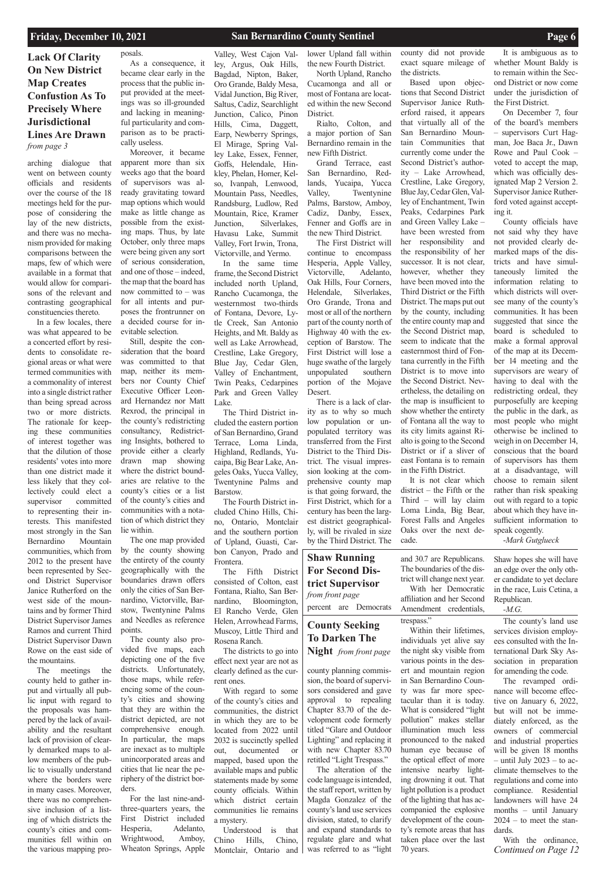## **Lack Of Clarity On New District Map Creates Confustion As To Precisely Where Jurisdictional Lines Are Drawn**  *from page 3*

### **Friday, December 10, 2021 San Bernardino County Sentinel Page 6**

arching dialogue that went on between county officials and residents over the course of the 18 meetings held for the purpose of considering the lay of the new districts, and there was no mechanism provided for making comparisons between the maps, few of which were available in a format that would allow for comparisons of the relevant and contrasting geographical constituencies thereto.

In a few locales, there was what appeared to be a concerted effort by residents to consolidate regional areas or what were termed communities with a commonality of interest into a single district rather than being spread across two or more districts. The rationale for keeping these communities of interest together was that the dilution of those residents' votes into more than one district made it less likely that they collectively could elect a supervisor committed to representing their interests. This manifested most strongly in the San Bernardino Mountain communities, which from 2012 to the present have been represented by Second District Supervisor Janice Rutherford on the west side of the mountains and by former Third District Supervisor James Ramos and current Third District Supervisor Dawn Rowe on the east side of the mountains.

The meetings the county held to gather in-

put and virtually all public input with regard to the proposals was hampered by the lack of availability and the resultant lack of provision of clearly demarked maps to allow members of the public to visually understand where the borders were in many cases. Moreover, there was no comprehensive inclusion of a listing of which districts the county's cities and communities fell within on the various mapping proposals. As a consequence, it became clear early in the process that the public input provided at the meetings was so ill-grounded and lacking in meaningful particularity and comparison as to be practically useless.

Moreover, it became apparent more than six weeks ago that the board of supervisors was already gravitating toward map options which would make as little change as possible from the existing maps. Thus, by late October, only three maps were being given any sort of serious consideration, and one of those – indeed, the map that the board has now committed to – was for all intents and purposes the frontrunner on a decided course for inevitable selection.

Still, despite the consideration that the board was committed to that map, neither its members nor County Chief Executive Officer Leonard Hernandez nor Matt Rexrod, the principal in the county's redistricting consultancy, Redistricting Insights, bothered to provide either a clearly drawn map showing where the district boundaries are relative to the county's cities or a list of the county's cities and communities with a notation of which district they lie within.

The one map provided by the county showing the entirety of the county geographically with the boundaries drawn offers only the cities of San Bernardino, Victorville, Barstow, Twentynine Palms and Needles as reference points.

The county also provided five maps, each depicting one of the five districts. Unfortunately, those maps, while referencing some of the county's cities and showing that they are within the district depicted, are not comprehensive enough. In particular, the maps are inexact as to multiple unincorporated areas and cities that lie near the periphery of the district borders. For the last nine-andthree-quarters years, the First District included Hesperia, Adelanto, Wrightwood, Amboy, Wheaton Springs, Apple

Valley, West Cajon Valley, Argus, Oak Hills, Bagdad, Nipton, Baker, Oro Grande, Baldy Mesa, Vidal Junction, Big River, Saltus, Cadiz, Searchlight Junction, Calico, Pinon Hills, Cima, Daggett, Earp, Newberry Springs, El Mirage, Spring Valley Lake, Essex, Fenner, Goffs, Helendale, Hinkley, Phelan, Homer, Kelso, Ivanpah, Lenwood, Mountain Pass, Needles, Randsburg, Ludlow, Red Mountain, Rice, Kramer Junction, Silverlakes, Havasu Lake, Summit Valley, Fort Irwin, Trona, Victorville, and Yermo.

In the same time frame, the Second District included north Upland, Rancho Cucamonga, the westernmost two-thirds of Fontana, Devore, Lytle Creek, San Antonio Heights, and Mt. Baldy as well as Lake Arrowhead, Crestline, Lake Gregory, Blue Jay, Cedar Glen, Valley of Enchantment, Twin Peaks, Cedarpines Park and Green Valley Lake.

The Third District included the eastern portion of San Bernardino, Grand Terrace, Loma Linda, Highland, Redlands, Yucaipa, Big Bear Lake, Angeles Oaks, Yucca Valley, Twentynine Palms and Barstow.

The Fourth District included Chino Hills, Chino, Ontario, Montclair and the southern portion of Upland, Guasti, Carbon Canyon, Prado and Frontera.

The Fifth District consisted of Colton, east Fontana, Rialto, San Bernardino, Bloomington, El Rancho Verde, Glen Helen, Arrowhead Farms, Muscoy, Little Third and Rosena Ranch.

The districts to go into effect next year are not as clearly defined as the current ones.

With regard to some of the county's cities and communities, the district in which they are to be located from 2022 until 2032 is succinctly spelled out, documented or mapped, based upon the available maps and public statements made by some county officials. Within which district certain communities lie remains a mystery. Understood is that Chino Hills, Chino,

Montclair, Ontario and

lower Upland fall within the new Fourth District.

North Upland, Rancho Cucamonga and all or most of Fontana are located within the new Second District.

Rialto, Colton, and a major portion of San Bernardino remain in the new Fifth District.

Grand Terrace, east San Bernardino, Redlands, Yucaipa, Yucca Valley, Twentynine Palms, Barstow, Amboy, Cadiz, Danby, Essex, Fenner and Goffs are in the new Third District.

The First District will continue to encompass Hesperia, Apple Valley, Victorville, Adelanto, Oak Hills, Four Corners, Helendale, Silverlakes, Oro Grande, Trona and most or all of the northern part of the county north of Highway 40 with the exception of Barstow. The First District will lose a huge swathe of the largely unpopulated southern portion of the Mojave Desert.

There is a lack of clarity as to why so much low population or unpopulated territory was transferred from the First District to the Third District. The visual impression looking at the comprehensive county map is that going forward, the First District, which for a century has been the largest district geographically, will be rivaled in size by the Third District. The county did not provide exact square mileage of the districts.

Based upon objections that Second District Supervisor Janice Rutherford raised, it appears that virtually all of the San Bernardino Mountain Communities that currently come under the Second District's authority – Lake Arrowhead, Crestline, Lake Gregory, Blue Jay, Cedar Glen, Valley of Enchantment, Twin Peaks, Cedarpines Park and Green Valley Lake – have been wrested from her responsibility and the responsibility of her successor. It is not clear, however, whether they have been moved into the Third District or the Fifth District. The maps put out by the county, including the entire county map and the Second District map, seem to indicate that the easternmost third of Fontana currently in the Fifth District is to move into the Second District. Nevertheless, the detailing on the map is insufficient to show whether the entirety of Fontana all the way to its city limits against Rialto is going to the Second District or if a sliver of east Fontana is to remain in the Fifth District.

It is not clear which district – the Fifth or the Third – will lay claim Loma Linda, Big Bear, Forest Falls and Angeles Oaks over the next decade.

It is ambiguous as to whether Mount Baldy is to remain within the Second District or now come under the jurisdiction of the First District.

On December 7, four of the board's members – supervisors Curt Hagman, Joe Baca Jr., Dawn Rowe and Paul Cook – voted to accept the map, which was officially designated Map 2 Version 2. Supervisor Janice Rutherford voted against accepting it.

County officials have not said why they have not provided clearly demarked maps of the districts and have simultaneously limited the information relating to which districts will oversee many of the county's communities. It has been suggested that since the board is scheduled to make a formal approval of the map at its December 14 meeting and the supervisors are weary of having to deal with the redistricting ordeal, they purposefully are keeping the public in the dark, as most people who might otherwise be inclined to weigh in on December 14, conscious that the board of supervisors has them at a disadvantage, will choose to remain silent rather than risk speaking out with regard to a topic about which they have insufficient information to speak cogently.

-*Mark Gutglueck*

county planning commission, the board of supervisors considered and gave approval to repealing Chapter 83.70 of the development code formerly titled "Glare and Outdoor Lighting" and replacing it with new Chapter 83.70 retitled "Light Trespass." The alteration of the code language is intended, the staff report, written by Magda Gonzalez of the county's land use services division, stated, to clarify and expand standards to regulate glare and what was referred to as "light

Within their lifetimes, individuals yet alive say the night sky visible from various points in the desert and mountain region in San Bernardino County was far more spectacular than it is today. What is considered "light pollution" makes stellar illumination much less pronounced to the naked human eye because of the optical effect of more intensive nearby lighting drowning it out. That light pollution is a product of the lighting that has accompanied the explosive development of the county's remote areas that has taken place over the last 70 years.

trespass." and 30.7 are Republicans. The boundaries of the district will change next year. With her Democratic affiliation and her Second Amendment credentials,

The county's land use services division employees consulted with the International Dark Sky Association in preparation for amending the code.

The revamped ordi-

nance will become effective on January 6, 2022, but will not be immediately enforced, as the owners of commercial and industrial properties will be given 18 months  $-$  until July 2023  $-$  to acclimate themselves to the regulations and come into compliance. Residential landowners will have 24 months – until January 2024 – to meet the standards.

## percent are Democrats **Shaw Running For Second District Supervisor**  *from front page*

With the ordinance, *Continued on Page 12*

Shaw hopes she will have an edge over the only other candidate to yet declare in the race, Luis Cetina, a Republican.

*-M.G*.

**County Seeking To Darken The** 

**Night** *from front page*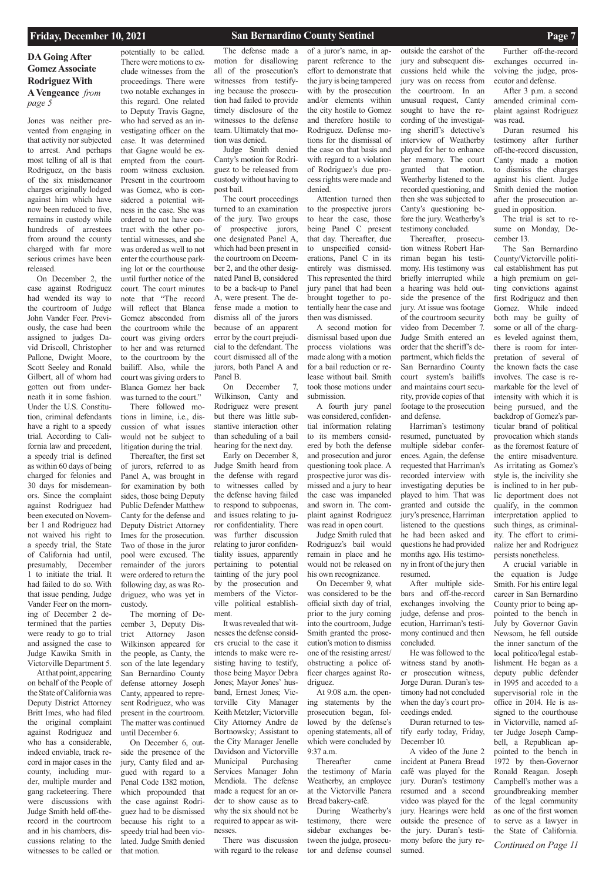**DA Going After Gomez Associate Rodriguez With A Vengeance** *from page 5*

Jones was neither prevented from engaging in that activity nor subjected to arrest. And perhaps most telling of all is that Rodriguez, on the basis of the six misdemeanor charges originally lodged against him which have now been reduced to five, remains in custody while hundreds of arrestees from around the county charged with far more serious crimes have been released.

On December 2, the case against Rodriguez had wended its way to the courtroom of Judge John Vander Feer. Previously, the case had been assigned to judges David Driscoll, Christopher Pallone, Dwight Moore, Scott Seeley and Ronald Gilbert, all of whom had gotten out from underneath it in some fashion. Under the U.S. Constitution, criminal defendants have a right to a speedy trial. According to California law and precedent, a speedy trial is defined as within 60 days of being charged for felonies and 30 days for misdemeanors. Since the complaint against Rodriguez had been executed on November 1 and Rodriguez had not waived his right to a speedy trial, the State of California had until, presumably, December 1 to initiate the trial. It had failed to do so. With that issue pending, Judge Vander Feer on the morning of December 2 determined that the parties were ready to go to trial and assigned the case to Judge Kawika Smith in Victorville Department 5.

At that point, appearing on behalf of the People of

the State of California was Deputy District Attorney Britt Imes, who had filed the original complaint against Rodriguez and who has a considerable, indeed enviable, track record in major cases in the county, including murder, multiple murder and gang racketeering. There were discussions with Judge Smith held off-therecord in the courtroom and in his chambers, discussions relating to the witnesses to be called or

potentially to be called. There were motions to exclude witnesses from the proceedings. There were two notable exchanges in this regard. One related to Deputy Travis Gagne, who had served as an investigating officer on the case. It was determined that Gagne would be exempted from the courtroom witness exclusion. Present in the courtroom was Gomez, who is considered a potential witness in the case. She was ordered to not have contract with the other potential witnesses, and she was ordered as well to not enter the courthouse parking lot or the courthouse until further notice of the court. The court minutes note that "The record will reflect that Blanca Gomez absconded from the courtroom while the court was giving orders to her and was returned to the courtroom by the bailiff. Also, while the court was giving orders to Blanca Gomez her back

was turned to the court." There followed motions in limine, i.e., discussion of what issues would not be subject to litigation during the trial.

Thereafter, the first set of jurors, referred to as Panel A, was brought in for examination by both sides, those being Deputy Public Defender Matthew Canty for the defense and Deputy District Attorney Imes for the prosecution. Two of those in the juror pool were excused. The remainder of the jurors were ordered to return the following day, as was Rodriguez, who was yet in custody.

The morning of December 3, Deputy District Attorney Jason Wilkinson appeared for the people, as Canty, the son of the late legendary San Bernardino County defense attorney Joseph

Canty, appeared to represent Rodriguez, who was present in the courtroom. The matter was continued until December 6.

On December 6, outside the presence of the jury, Canty filed and argued with regard to a Penal Code 1382 motion, which propounded that the case against Rodriguez had to be dismissed because his right to a speedy trial had been violated. Judge Smith denied that motion.

The defense made a motion for disallowing all of the prosecution's witnesses from testifying because the prosecution had failed to provide timely disclosure of the witnesses to the defense team. Ultimately that motion was denied.

Judge Smith denied Canty's motion for Rodriguez to be released from custody without having to post bail.

The court proceedings turned to an examination of the jury. Two groups of prospective jurors, one designated Panel A, which had been present in the courtroom on December 2, and the other designated Panel B, considered to be a back-up to Panel A, were present. The defense made a motion to dismiss all of the jurors because of an apparent error by the court prejudicial to the defendant. The court dismissed all of the jurors, both Panel A and Panel B.

On December 7, Wilkinson, Canty and Rodriguez were present but there was little substantive interaction other than scheduling of a bail hearing for the next day.

Early on December 8, Judge Smith heard from the defense with regard to witnesses called by the defense having failed to respond to subpoenas, and issues relating to juror confidentiality. There was further discussion relating to juror confidentiality issues, apparently pertaining to potential tainting of the jury pool by the prosecution and members of the Victorville political establishment.

It was revealed that witnesses the defense considers crucial to the case it intends to make were resisting having to testify, those being Mayor Debra Jones; Mayor Jones' husband, Ernest Jones; Victorville City Manager Keith Metzler; Victorville City Attorney Andre de Bortnowsky; Assistant to the City Manager Jenelle Davidson and Victorville Municipal Purchasing Services Manager John Mendiola. The defense made a request for an order to show cause as to why the six should not be required to appear as witnesses. There was discussion with regard to the release

of a juror's name, in apparent reference to the effort to demonstrate that the jury is being tampered with by the prosecution and/or elements within the city hostile to Gomez and therefore hostile to Rodriguez. Defense motions for the dismissal of the case on that basis and with regard to a violation of Rodriguez's due process rights were made and denied.

Attention turned then to the prospective jurors to hear the case, those being Panel C present that day. Thereafter, due to unspecified considerations, Panel C in its entirely was dismissed. This represented the third jury panel that had been brought together to potentially hear the case and then was dismissed.

A second motion for dismissal based upon due process violations was made along with a motion for a bail reduction or release without bail. Smith took those motions under submission.

A fourth jury panel was considered, confidential information relating to its members considered by both the defense and prosecution and juror questioning took place. A prospective juror was dismissed and a jury to hear the case was impaneled and sworn in. The complaint against Rodriguez was read in open court.

Judge Smith ruled that Rodriguez's bail would remain in place and he would not be released on his own recognizance.

On December 9, what was considered to be the official sixth day of trial, prior to the jury coming into the courtroom, Judge Smith granted the prosecution's motion to dismiss one of the resisting arrest/ obstructing a police officer charges against Rodriguez.

At 9:08 a.m. the opening statements by the prosecution began, followed by the defense's opening statements, all of which were concluded by 9:37 a.m.

Thereafter came the testimony of Maria Weatherby, an employee at the Victorville Panera Bread bakery-café.

During Weatherby's testimony, there were sidebar exchanges between the judge, prosecutor and defense counsel

outside the earshot of the jury and subsequent discussions held while the jury was on recess from the courtroom. In an unusual request, Canty sought to have the recording of the investigating sheriff's detective's interview of Weatherby played for her to enhance her memory. The court granted that motion. Weatherby listened to the recorded questioning, and then she was subjected to Canty's questioning before the jury. Weatherby's testimony concluded.

Thereafter, prosecution witness Robert Harriman began his testimony. His testimony was briefly interrupted while a hearing was held outside the presence of the jury. At issue was footage of the courtroom security video from December 7. Judge Smith entered an order that the sheriff's department, which fields the San Bernardino County court system's bailiffs and maintains court security, provide copies of that footage to the prosecution and defense.

Harriman's testimony resumed, punctuated by multiple sidebar conferences. Again, the defense requested that Harriman's recorded interview with investigating deputies be played to him. That was granted and outside the jury's presence, Harriman listened to the questions he had been asked and questions he had provided months ago. His testimony in front of the jury then resumed.

After multiple sidebars and off-the-record exchanges involving the judge, defense and prosecution, Harriman's testimony continued and then concluded.

He was followed to the witness stand by another prosecution witness, Jorge Duran. Duran's testimony had not concluded when the day's court proceedings ended. Duran returned to testify early today, Friday, December 10. A video of the June 2 incident at Panera Bread café was played for the jury. Duran's testimony resumed and a second video was played for the jury. Hearings were held outside the presence of the jury. Duran's testimony before the jury resumed.

Further off-the-record exchanges occurred involving the judge, prosecutor and defense.

After 3 p.m. a second amended criminal complaint against Rodriguez was read.

Duran resumed his testimony after further off-the-record discussion, Canty made a motion to dismiss the charges against his client. Judge Smith denied the motion after the prosecution argued in opposition.

The trial is set to resume on Monday, December 13.

The San Bernardino County/Victorville political establishment has put a high premium on getting convictions against first Rodriguez and then Gomez. While indeed both may be guilty of some or all of the charges leveled against them, there is room for interpretation of several of the known facts the case involves. The case is remarkable for the level of intensity with which it is being pursued, and the backdrop of Gomez's particular brand of political provocation which stands as the foremost feature of the entire misadventure. As irritating as Gomez's style is, the incivility she is inclined to in her public deportment does not qualify, in the common interpretation applied to such things, as criminality. The effort to criminalize her and Rodriguez persists nonetheless.

A crucial variable in the equation is Judge Smith. For his entire legal career in San Bernardino County prior to being appointed to the bench in July by Governor Gavin Newsom, he fell outside the inner sanctum of the local politico/legal establishment. He began as a deputy public defender in 1995 and acceded to a supervisorial role in the office in 2014. He is assigned to the courthouse in Victorville, named after Judge Joseph Campbell, a Republican appointed to the bench in 1972 by then-Governor Ronald Reagan. Joseph Campbell's mother was a groundbreaking member of the legal community as one of the first women to serve as a lawyer in the State of California. *Continued on Page 11*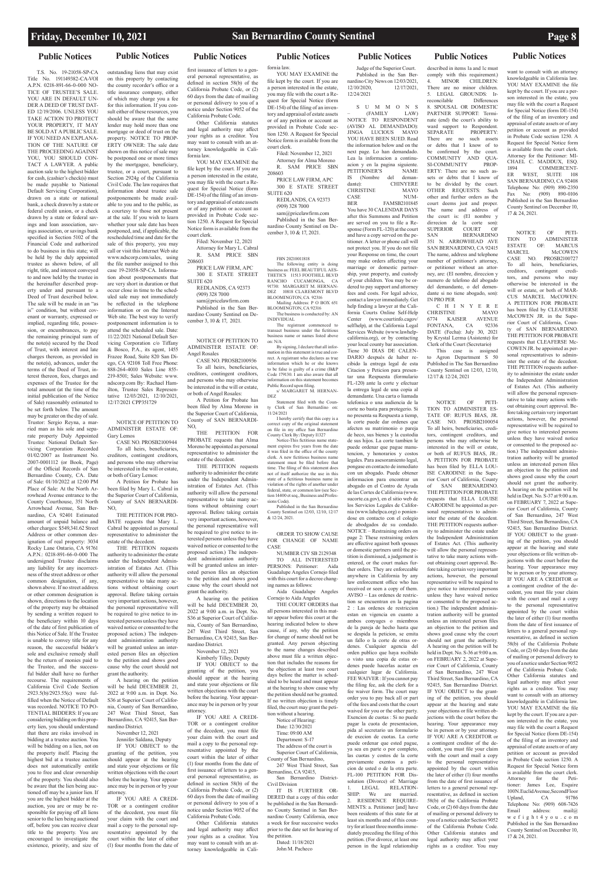T.S. No. 19-21058-SP-CA Title No. 191149382-CA-VOI A.P.N. 0218-891-66-0-000 NO-TICE OF TRUSTEE'S SALE. YOU ARE IN DEFAULT UN-DER A DEED OF TRUST DAT-ED 12/19/2006. UNLESS YOU TAKE ACTION TO PROTECT YOUR PROPERTY, IT MAY BE SOLD AT A PUBLIC SALE. IF YOU NEED AN EXPLANA-TION OF THE NATURE OF THE PROCEEDING AGAINST YOU, YOU SHOULD CON-TACT A LAWYER. A public auction sale to the highest bidder for cash, (cashier's check(s) must be made payable to National Default Servicing Corporation), drawn on a state or national bank, a check drawn by a state or federal credit union, or a check drawn by a state or federal savings and loan association, savings association, or savings bank specified in Section 5102 of the Financial Code and authorized to do business in this state; will be held by the duly appointed trustee as shown below, of all right, title, and interest conveyed to and now held by the trustee in the hereinafter described property under and pursuant to a Deed of Trust described below. The sale will be made in an "as is" condition, but without covenant or warranty, expressed or implied, regarding title, possession, or encumbrances, to pay the remaining principal sum of the note(s) secured by the Deed of Trust, with interest and late charges thereon, as provided in the note(s), advances, under the terms of the Deed of Trust, interest thereon, fees, charges and expenses of the Trustee for the total amount (at the time of the initial publication of the Notice of Sale) reasonably estimated to be set forth below. The amount may be greater on the day of sale. Trustor: Sergio Reyna, a married man as his sole and separate property Duly Appointed Trustee: National Default Servicing Corporation Recorded 01/02/2007 as Instrument No. 2007-0001112 (or Book, Page) of the Official Records of San Bernardino County, CA. Date of Sale: 01/10/2022 at 12:00 PM Place of Sale: At the North Arrowhead Avenue entrance to the County Courthouse, 351 North Arrowhead Avenue, San Bernardino, CA 92401 Estimated amount of unpaid balance and other charges: \$549,341.62 Street Address or other common designation of real property: 3034 Rocky Lane Ontario, CA 91761 A.P.N.: 0218-891-66-0-000 The undersigned Trustee disclaims any liability for any incorrectness of the street address or other common designation, if any, shown above. If no street address or other common designation is shown, directions to the location of the property may be obtained by sending a written request to the beneficiary within 10 days of the date of first publication of this Notice of Sale. If the Trustee is unable to convey title for any reason, the successful bidder's sole and exclusive remedy shall be the return of monies paid to the Trustee, and the success-

**Public Notices Public Notices Public Notices Public Notices Public Notices Public Notices Public Notices** outstanding liens that may exist on this property by contacting the county recorder's office or a title insurance company, either of which may charge you a fee for this information. If you consult either of these resources, you should be aware that the same lender may hold more than one mortgage or deed of trust on the property. NOTICE TO PROP-ERTY OWNER: The sale date shown on this notice of sale may be postponed one or more times by the mortgagee, beneficiary, trustee, or a court, pursuant to Section 2924g of the California Civil Code. The law requires that information about trustee sale postponements be made available to you and to the public, as a courtesy to those not present at the sale. If you wish to learn whether your sale date has been postponed, and, if applicable, the rescheduled time and date for the sale of this property, you may call or visit this Internet Web site www.ndscorp.com/sales, using the file number assigned to this case 19-21058-SP-CA. Information about postponements that are very short in duration or that occur close in time to the scheduled sale may not immediately be reflected in the telephone information or on the Internet Web site. The best way to verify postponement information is to attend the scheduled sale. Date: 11/22/2021 National Default Servicing Corporation c/o Tiffany & Bosco, P.A., its agent, 1455 Frazee Road, Suite 820 San Diego, CA 92108 Toll Free Phone: 888-264-4010 Sales Line 855- 219-8501; Sales Website: www. ndscorp.com By: Rachael Hamilton, Trustee Sales Represen-

ful bidder shall have no further recourse. The requirements of California Civil Code Section 2923.5(b)/2923.55(c) were fulfilled when the Notice of Default was recorded. NOTICE TO PO-TENTIAL BIDDERS: If you are considering bidding on this property lien, you should understand that there are risks involved in bidding at a trustee auction. You will be bidding on a lien, not on the property itself. Placing the highest bid at a trustee auction does not automatically entitle you to free and clear ownership of the property. You should also be aware that the lien being auctioned off may be a junior lien. If you are the highest bidder at the auction, you are or may be responsible for paying off all liens senior to the lien being auctioned off, before you can receive clear title to the property. You are encouraged to investigate the existence, priority, and size of a person interested in the estate you may file with the court a Request for Special Notice (form DE-154) of the filing of an inventory and appraisal of estate assets or of any petition or account as provided in Probate Code section 1250. A Request for Special Notice form is available from the court clerk. Filed: November 12, 2021

tative 12/03/2021, 12/10/2021, 12/17/2021 CPP351729

### NOTICE OF PETITION TO ADMINISTER ESTATE OF: Gary Lemos

CASE NO. PROSB2100944 To all heirs, beneficiaries, creditors, contingent creditors, and persons who may otherwise be interested in the will or estate, or both of Gary Lemos:

A Petition for Probate has been filed by Mary L. Cabral in the Superior Court of California, County of SAN BERNARDI-NO,

THE PETITION FOR PRO-BATE requests that Mary L. Cabral be appointed as personal representative to administer the estate of the decedent.

THE PETITION requests authority to administer the estate under the Independent Administration of Estates Act. (This authority will allow the personal representative to take many actions without obtaining court approval. Before taking certain very important actions, however, the personal representative will be required to give notice to interested persons unless they have waived notice or consented to the proposed action.) The independent administration authority will be granted unless an interested person files an objection to the petition and shows good cause why the court should not

correct copy of the original stat on file in my office San Bernardino County Clerk By:/Deputy I1327 Notice-This fictitious name statement expires five years from the date it was filed in the office of the county clerk. A new fictitious business name statement must be filed before that time. The filing of this statement does not of itself authorize the use in this state of a fictitious business name in violation of the rights of another under federal, state, or common law (see Section 14400 et seq., Business and Professions Code).

grant the authority. A hearing on the petition will be held DECEMBER 21,

2022 at 9:00 a.m. in Dept. No. S36 at Superior Court of California, County of San Bernardino, 247 West Third Street, San Bernardino, CA 92415, San Bernardino District. November 12, 2021

Jennifer Saldana, Deputy IF YOU OBJECT to the granting of the petition, you should appear at the hearing and state your objections or file written objections with the court before the hearing. Your appearance may be in person or by your attorney.

IF YOU ARE A CREDI-TOR or a contingent creditor of the decedent, you must file your claim with the court and mail a copy to the personal representative appointed by the court within the later of either

(1) four months from the date of

first issuance of letters to a general personal representative, as defined in section 58(b) of the California Probate Code, or (2) 60 days from the date of mailing or personal delivery to you of a notice under Section 9052 of the California Probate Code. Other California statutes

and legal authority may affect your rights as a creditor. You may want to consult with an attorney knowledgeable in California law. YOU MAY EXAMINE the file kept by the court. If you are

Attorney for Mary L. Cabral R. SAM PRICE SBN 208603

PRICE LAW FIRM, APC 300 E STATE STREET SUITE 620 REDLANDS, CA 92373 (909) 328 7000 sam@pricelawfirm.com

Published in the San Bernardino County Sentinel on December 3, 10 & 17, 2021.

NOTICE OF PETITION TO ADMINISTER ESTATE OF: Angel Rosales CASE NO. PROSB2100936

To all heirs, beneficiaries, creditors, contingent creditors, and persons who may otherwise be interested in the will or estate, or both of Angel Rosales: A Petition for Probate has

been filed by Alma Moreno in the Superior Court of California, County of SAN BERNARDI-NO, THE PETITION FOR

PROBATE requests that Alma Moreno be appointed as personal representative to administer the estate of the decedent.

THE PETITION requests authority to administer the estate under the Independent Administration of Estates Act. (This authority will allow the personal representative to take many actions without obtaining court approval. Before taking certain very important actions, however, the personal representative will

be required to give notice to interested persons unless they have waived notice or consented to the proposed action.) The independent administration authority will be granted unless an interested person files an objection to the petition and shows good cause why the court should not grant the authority.

A hearing on the petition will be held DECEMBER 20, 2022 at 9:00 a.m. in Dept. No. S36 at Superior Court of California, County of San Bernardino, 247 West Third Street, San Bernardino, CA 92415, San Bernardino District.

November 12, 2021 Kimberly Tilley, Deputy

IF YOU OBJECT to the granting of the petition, you should appear at the hearing and state your objections or file

written objections with the court before the hearing. Your appearance may be in person or by your attorney.

IF YOU ARE A CREDI-TOR or a contingent creditor of the decedent, you must file your claim with the court and mail a copy to the personal representative appointed by the court within the later of either (1) four months from the date of first issuance of letters to a general personal representative, as defined in section 58(b) of the California Probate Code, or (2) 60 days from the date of mailing or personal delivery to you of a notice under Section 9052 of the California Probate Code. Other California statutes and legal authority may affect your rights as a creditor. You

may want to consult with an attorney knowledgeable in Cali-

fornia law. YOU MAY EXAMINE the file kept by the court. If you are a person interested in the estate, you may file with the court a Request for Special Notice (form DE-154) of the filing of an inventory and appraisal of estate assets or of any petition or account as provided in Probate Code section 1250. A Request for Special Notice form is available from the court clerk. Filed: November 12, 2021

Attorney for Alma Moreno R. SAM PRICE SBN 208603 PRICE LAW FIRM, APC 300 E STATE STREET SUITE 620

REDLANDS, CA 92373 (909) 328 7000 sam@pricelawfirm.com Published in the San Bernardino County Sentinel on December 3, 10 & 17, 2021.

# FBN 20210011818

The following entity is doing business as: FEEL BEAUTIFUL AES-THETICS 11513 FOOTHILL BLVD RANCHO CUCAMONGA, CA 91730: MARGARET M. HERNAN-DEZ 10818 CLAREMONT BLVD BLOOMINGTON, CA 92316 Mailing Address: P O BOX 651

BLOOMINGTON, CA 92316 The business is conducted by: AN INDIVIDUAL

The registrant commenced to transact business under the fictitious business name or names listed above on: N/A

By signing, I declare that all information in this statement is true and correct. A registrant who declares as true information which he or she knows to be false is guilty of a crime (B&P Code 179130. I am also aware that all information on this statement becomes Public Record upon filing.

s/ MARGARET M. HERNAN-DEZ

Statement filed with the County Clerk of San Bernardino on: 11/24/2021 I hereby certify that this copy is a

Published in the San Bernardino County Sentinel on 12/03, 12/10, 12/17 & 12/24, 2021.

### ORDER TO SHOW CAUSE FOR CHANGE OF NAME CASE

NUMBER CIV SB 2129348 TO ALL INTERESTED PERSONS: Petitioner: Aida Guadalupe Angeles Cornejo filed with this court for a decree changing names as follows: Aida Guadalupe Angeles

Cornejo to Aida Angeles

THE COURT ORDERS that all persons interested in this matter appear before this court at the hearing indicated below to show cause, if any, why the petition for change of name should not be granted. Any person objecting to the name changes described above must file a written objection that includes the reasons for the objection at least two court days before the matter is scheduled to be heard and must appear at the hearing to show the petition should not be granted. If no written objection is timely filed, the court may grant the petition without a hearing. Notice of Hearing: Date: 12/30/2021 Time: 09:00 AM Department: S-17 The address of the court is Superior Court of California, County of San Bernardino, 247 West Third Street, San Bernardino, CA 92415, San Bernardino District-Civil Division IT IS FURTHER OR-DERED that a copy of this order be published in the San Bernardino County Sentinel in San Bernardino County California, once a week for four successive weeks prior to the date set for hearing of the petition.

Dated: 11/18/2021 John M. Pacheco

Judge of the Superior Court. Published in the San Bernardino City News on 12/03/2021,<br>12/10/2020. 12/17/2021. 12/10/2020, 12/17/2021, 12/24/2021

S U M M O N S – (FAMILY LAW) NOTICE TO RESPONDENT (AVISO AL DEMANDADO): JINGA LUCIOUS MAYO YOU HAVE BEEN SUED. Read the information below and on the next page. Lo han demandado. Lea la informacion a continuacion y en la pagina siguiente. PETITIONER'S NAME IS (Nombre del demandante): CHINYERE<br>CHRISTINE MAYO CHRISTINE<br>CASE NUM-BER FAMSB2101845 You have 30 CALENDAR DAYS after this Summons and Petition are served on you to file a Response (Form FL-120) at the court and have a copy served on the petitioner. A letter or phone call will not protect you. If you do not file your Response on time, the court may make orders affecting your marriage or domestic partnership, your property, and custody of your children. You may be ordered to pay support and attorney fees and costs. For legal advice, contact a lawyer immediately. Get help finding a lawyer at the California Courts Online Self-Help Center (www.courtinfo.cagov/ selfhelp), at the California Legal Services Website (www.lawhelpcalifornia.org), or by contacting your local county bar association. Tiene 30 DIAS DE CALEN-DARIO después de haber recibido la entrega legal de esta Citacion y Peticion para presentar una Respuesta (formulario FL-120) ante la corte y efectuar la entrega legal de una copia al demandante. Una carta o liamada telefonica o una audiencia de la corte no basta para protegerio. Si no presenta su Respuesta a tiemp, la corte puede dar ordenes que afecten su matrimonio o pareja de heco, sus bienes y la custodia de sus hijos. La corte tambien le puede ordenar que pague manutencion, y honorarios y costos legales. Para asesoramiento legal, pongase en contacto de inmediato con un abogado. Puede obtener informacion para encontrar un abogado en el Contro de Ayuda de las Cortes de California (www. sucorte.ca.gov), en el sitio web de los Servicios Legales de California (www.lahelpca.org) o poniendose en contacto con el colegio de abodgados de su condado. NOTICE – Restraining orders on page 2: These restraining orders are effective against both spouses or domestic partners until the petition is dismissed, a judgement is entered, or the court makes further orders. They are enforceable anywhere in California by any law enforcement office who has received or seen a copy of them. AVISO – Las ordenes de restriction se encuentran en la pagina 2 : Las ordenes de restriccion estan en vigencia en cuanto a ambos conyuges o miembros de la pareja de hecho hasta que se despida la peticion, se emita un fallo o la corte de otras ordenes. Cualquier agencia del orden publico que haya rocibido o visto una copia de estas ordenes puede hacerlas acatar en cualquier lugar de California. FEE WAIVER : If you cannot pay

the filing fee, ask the clerk for a fee waiver form. The court may order you to pay back all or part of the fees and costs that the court waived for you or the other party. Exencion de cuotas : Si no puede pagar la cuota de presentacion, pida al secretario un formulario de execion de cuotas. La corte puede ordenar que ested pague, ya sea en parte o por completo, las cuotas y costos de la corte previamente exentos a peticion de usted o de la otra parte. FL-100 PETITION FOR Dissolution (Divorce) of: Marriage 1. LEGAL RELATION-<br>SHIP: We are married. We are married. 2. RESIDENCE REQUIRE-MENTS: a. Petitioner [and] have been residents of this state for at least six months and of this country for at least three months immediately preceding the filing of this petition. (For divorce, at least one person in the legal relationship

described in items 1a and 1c must comply with this requirement.) 4. MINOR CHILDREN: There are no minor children. 5. LEGAL GROUNDS: Ir-<br>reconcilable Differences Differences 8. SPOUSAL OR DOMESTIC PARTNER SUPPORT: Terminate (end) the court's ability to ward support to Respondent.<br>SEPARATE PROPERTY **SEPARATE** There are no such assets or debts that I know of to be confirmed by the court.<br>COMMUNITY AND OUA-AND QUA-<br>Y PROP-SI-COMMUNITY ERTY: There are no such assets or debts that I know of to be divided by the court. OTHER REQUESTS: Such other and further orders as the court deems just and proper. The name and address of the court is: (El nombre y dirrecion de la corte son): SUPERIOR COURT OF SAN BERNARDINO 351 N. ARROWHEAD AVE SAN BERNARDINO, CA 92415 The name, address and telephone number of petitioner's attorney, or petitioner without an attorney, are: (El nombre, direccion y numero de telefono del abogado del demandante, o del demendante si no tiene abogado, son): IN PRO PER

C H I N Y E R E CHRISTINE MAYO<br>6774 KAISER AVENUE 6774 KAISER AVENUE FONTANA, DATE (Fecha): July 30, 2021 by Krystal Lerma (Asistente) for Clerk of the Court (Secretario) This case is assigned

to Agron Department S 50 Published in The San Bernardino County Sentinel on 12/03, 12/10, 12/17 & 12/24, 2021

NOTICE OF PETI-TION TO ADMINISTER ES-TATE OF: RUFUS BIAS, JR. CASE NO. PROSB2100054 To all heirs, beneficiaries, creditors, contingent creditors, and persons who may otherwise be interested in the will or estate, or both of RUFUS BIAS, JR. A PETITION FOR PROBATE has been filed by ELLA LOU-ISE CARODINE in the Superior Court of California, County of SAN BERNARDINO. THE PETITION FOR PROBATE requests that ELLA LOUISE CARODINE be appointed as personal representatives to administer the estate of the decedent. THE PETITION requests authority to administer the estate under the Independent Administration of Estates Act. (This authority will allow the personal representative to take many actions without obtaining court approval. Before taking certain very important actions, however, the personal representative will be required to give notice to interested persons unless they have waived notice or consented to the proposed action.) The independent administration authority will be granted unless an interested person files an objection to the petition and shows good cause why the court should not grant the authority. A hearing on the petition will be held in Dept. No. S-36 at 9:00 a.m. on FEBRUARY 2, 2022 at Superior Court of California, County of San Bernardino, 247 West Third Street, San Bernardino, CA 92415, San Bernardino District. IF YOU OBJECT to the granting of the petition, you should appear at the hearing and state your objections or file written objections with the court before the hearing. Your appearance may be in person or by your attorney. IF YOU ARE A CREDITOR or a contingent creditor of the decedent, you must file your claim with the court and mail a copy to the personal representative appointed by the court within the later of either (1) four months from the date of first issuance of letters to a general personal representative, as defined in section 58(b) of the California Probate Code, or (2) 60 days from the date of mailing or personal delivery to you of a notice under Section 9052 of the California Probate Code. Other California statutes and legal authority may affect your rights as a creditor. You may

want to consult with an attorney knowledgeable in California law. YOU MAY EXAMINE the file kept by the court. If you are a person interested in the estate, you may file with the court a Request for Special Notice (form DE-154) of the filing of an inventory and appraisal of estate assets or of any petition or account as provided in Probate Code section 1250. A Request for Special Notice form is available from the court clerk. Attorney for the Petitioner: MI-CHAEL C. MADDUX, ESQ. 1894 COMMERCENT-<br>ER WEST. SUITE 108 ER WEST, SUITE 108 SAN BERNARDINO, CA 92408 Telephone No: (909) 890-2350 Fax No: (909) 890-0106 Published in the San Bernardino County Sentinel on December 10, 17 & 24, 2021.

NOTICE OF PETITION TO ADMINISTER TION TO ADMINISTER<br>ESTATE OF: MARCUS ESTATE OF: MARCUS<br>MARCEL McCOWEN **McCOWEN** CASE NO. PROSB2100727 To all heirs, beneficiaries,<br>creditors. contingent credicreditors, contingent credipersons who may otherwise be interested in the will or estate, or both of MAR-CUS MARCEL McCOWEN: A PETITION FOR PROBATE has been filed by CLEAFERSE McCOWEN JR. in the Superior Court of California, County of SAN BERNARDINO. THE PETITION FOR PROBATE requests that CLEAFERSE Mc-COWEN JR. be appointed as personal representatives to administer the estate of the decedent. THE PETITION requests authority to administer the estate under the Independent Administration of Estates Act. (This authority will allow the personal representative to take many actions without obtaining court approval. Before taking certain very important actions, however, the personal representative will be required to give notice to interested persons unless they have waived notice or consented to the proposed action.) The independent administration authority will be granted unless an interested person files an objection to the petition and shows good cause why the court should not grant the authority. A hearing on the petition will be held in Dept. No. S-37 at 9:00 a.m. on FEBRUARY 7, 2022 at Superior Court of California, County of San Bernardino, 247 West Third Street, San Bernardino, CA 92415, San Bernardino District. IF YOU OBJECT to the granting of the petition, you should appear at the hearing and state your objections or file written objections with the court before the hearing. Your appearance may be in person or by your attorney. IF YOU ARE A CREDITOR or a contingent creditor of the decedent, you must file your claim with the court and mail a copy to the personal representative appointed by the court within the later of either (1) four months from the date of first issuance of letters to a general personal representative, as defined in section 58(b) of the California Probate Code, or (2) 60 days from the date of mailing or personal delivery to you of a notice under Section 9052 of the California Probate Code. Other California statutes and legal authority may affect your rights as a creditor. You may want to consult with an attorney knowledgeable in California law. YOU MAY EXAMINE the file kept by the court. If you are a person interested in the estate, you may file with the court a Request for Special Notice (form DE-154) of the filing of an inventory and appraisal of estate assets or of any petition or account as provided in Probate Code section 1250. A Request for Special Notice form is available from the court clerk. Attorney for the Petitioner: James Lee, Esquire 100 N. Euclid Avenue, Second Floor<br>Upland. CA 91786 Upland, Telephone No: (909) 608-7426 Email address: mail@ w e f i g h t 4 y o u . c o m Published in the San Bernardino County Sentinel on December 10,  $17 & 24 & 2021$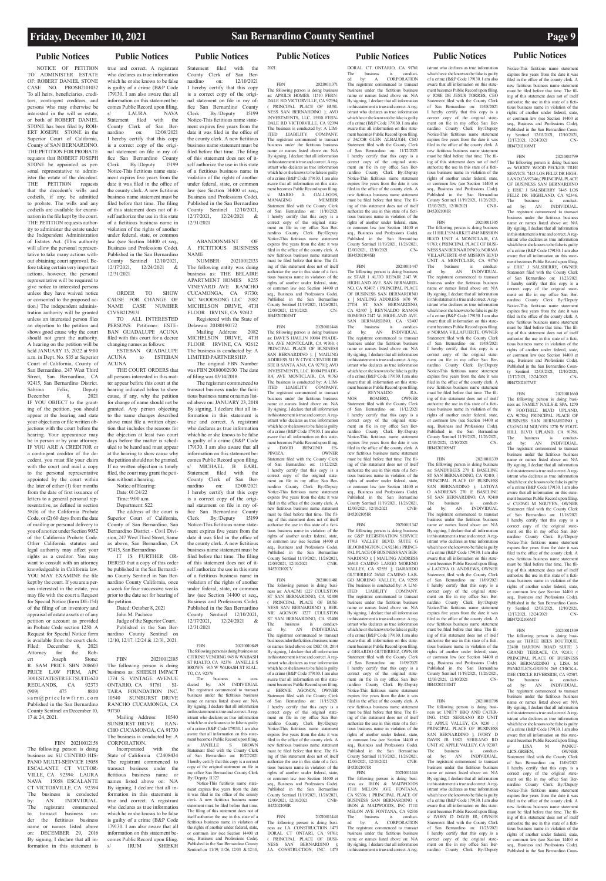NOTICE OF PETITION TO ADMINISTER ESTATE OF: ROBERT DANIEL STONE CASE NO. PROSB2101032 To all heirs, beneficiaries, creditors, contingent creditors, and persons who may otherwise be interested in the will or estate, or both of ROBERT DANIEL STONE has been filed by ROB-ERT JOSEPH STONE in the Superior Court of California County of SAN BERNARDINO. THE PETITION FOR PROBATE requests that ROBERT JOSEPH STONE be appointed as personal representative to administer the estate of the decedent. THE PETITION requests that the decedent's wills and codicils, if any, be admitted to probate. The wills and any codicils are available for examination in the file kept by the court. THE PETITION requests authority to administer the estate under the Independent Administration of Estates Act. (This authority will allow the personal representative to take many actions without obtaining court approval. Before taking certain very important actions, however, the personal representative will be required to give notice to interested persons unless they have waived notice or consented to the proposed action.) The independent administration authority will be granted unless an interested person files an objection to the petition and shows good cause why the court should not grant the authority. A hearing on the petition will be held JANUARY 13, 2022 at 9:00 a.m. in Dept. No. S35 at Superior Court of California, County of San Bernardino, 247 West Third Street, San Bernardino, CA 92415, San Bernardino District.<br>Sabrina Felix. Deputy Deputy December 8, 2021 IF YOU OBJECT to the granting of the petition, you should appear at the hearing and state your objections or file written objections with the court before the hearing. Your appearance may be in person or by your attorney. IF YOU ARE A CREDITOR or a contingent creditor of the decedent, you must file your claim with the court and mail a copy to the personal representative appointed by the court within the later of either (1) four months from the date of first issuance of letters to a general personal representative, as defined in section 58(b) of the California Probate Code, or (2) 60 days from the date of mailing or personal delivery to you of a notice under Section 9052 of the California Probate Code. Other California statutes and legal authority may affect your rights as a creditor. You may want to consult with an attorney knowledgeable in California law. YOU MAY EXAMINE the file kept by the court. If you are a person interested in the estate, you may file with the court a Request for Special Notice (form DE-154) of the filing of an inventory and appraisal of estate assets or of any petition or account as provided in Probate Code section 1250. A Request for Special Notice form is available from the court clerk. Filed: December 8, 2021 Attorney for the Robert Joseph Stone: R. SAM PRICE SBN 208603 PRICE LAW FIRM, APC 300 E STATE STREET SUITE 620

(909) 475 8800 s a m @ p r i c e l a w f i r m . c o m Published in the San Bernardino County Sentinel on December 10,  $17 & 24 & 2021$ 

**Public Notices Public Notices Public Notices Public Notices Public Notices Public Notices Public Notices** true and correct. A registrant who declares as true information which he or she knows to be false is guilty of a crime (B&P Code 179130. I am also aware that all information on this statement becomes Public Record upon filing. s/ LAURA NAVA<br>Statement filed with the Statement filed County Clerk of San Bernardino on: 12/08/2021 I hereby certify that this copy is a correct copy of the original statement on file in my office San Bernardino County Clerk By:/Deputy I5199 Notice-This fictitious name statement expires five years from the date it was filed in the office of the county clerk. A new fictitious business name statement must be filed before that time. The filing of this statement does not of itself authorize the use in this state of a fictitious business name in violation of the rights of another under federal, state, or common law (see Section 14400 et seq., Business and Professions Code). Published in the San Bernardino County Sentinel 12/10/2021, 12/17/2021, 12/24/2021 &

> TO ALL INTERESTED PERSONS: Petitioner: ESTE-BAN GUADALUPE ACUNA filed with this court for a decree changing names as follows: ESTEBAN GUADALUPE<br>ACUNA to ESTEBAN to ESTEBAN

> > Notice of Hearing: Date: 01/24/22

REDLANDS, CA 92373

FBN 20210012158

The following person is doing business as: SU CENTRO HIS-PANO MULTI-SERVICE 15058 ESCALANTE CT VICTOR-VILLE, CA 92394: LAURA NAVA 15058 ESCALANTE CT VICTORVILLE, CA 92394 The business is conducted<br>by: AN INDIVIDUAL by: AN INDIVIDUAL.<br>The registrant commenced registrant commenced to transact business under the fictitious business name or names listed above on: DECEMBER 29, 2016 By signing, I declare that all information in this statement is 12/31/2021

ORDER TO SHOW CAUSE FOR CHANGE OF NAME CASE NUMBER CIVSB2129131

ACUNA THE COURT ORDERS that all persons interested in this matter appear before this court at the hearing indicated below to show cause, if any, why the petition for change of name should not be granted. Any person objecting to the name changes described above must file a written objection that includes the reasons for the objection at least two court days before the matter is scheduled to be heard and must appear at the hearing to show cause why the petition should not be granted. If no written objection is timely filed, the court may grant the petition without a hearing.

> Time: 9:00 a.m. Department: S22

The address of the court is Superior Court of California, County of San Bernardino, San Bernardino District - Civil Division, 247 West Third Street, Same as above, San Bernardino, CA 92415, San Bernardino IT IS FURTHER OR-

DERED that a copy of this order be published in the San Bernardino County Sentinel in San Bernardino County California, once a week for four successive weeks prior to the date set for hearing of the petition.

Dated: October 8, 2021 John M. Pacheco

Judge of the Superior Court. Published in the San Bernardino County Sentinel on 12/10, 12/17. 12/24 & 12/31, 2021.

FBN 20210012185 The following person is doing business as: SHIEKH IMPACT 1774 S. VINTAGE AVENUE ONTARIO, CA 91761 SI-

TARA FOUNDATION INC. 10540 SUNBURST DRIVE RANCHO CUCAMONGA, CA 91730

### Mailing Address: 10540 SUNBURST DRIVE RAN-CHO CUCAMONGA, CA 91730 The business is conducted by: A CORPORATION.

Incorporated with the State of California C2408434 The registrant commenced to transact business under the fictitious business name or names listed above on: N/A By signing, I declare that all information in this statement is true and correct. A registrant who declares as true information which he or she knows to be false is guilty of a crime (B&P Code 179130. I am also aware that all information on this statement becomes Public Record upon filing. s/ IRUM SHIEKH

Statement filed with the County Clerk of San Bernardino on: 12/10/2021 I hereby certify that this copy is a correct copy of the original statement on file in my office San Bernardino County Clerk By:/Deputy I5199 Notice-This fictitious name statement expires five years from the date it was filed in the office of the county clerk. A new fictitious business name statement must be filed before that time. The filing of this statement does not of itself authorize the use in this state of a fictitious business name in violation of the rights of another under federal, state, or common law (see Section 14400 et seq., Business and Professions Code). Published in the San Bernardino County Sentinel 12/10/2021, 12/17/2021, 12/24/2021 & 12/31/2021

ABANDONMENT OF A FICTITIOUS BUSINESS NAME

NUMBER 20210012133 The following entity was doing business as: THE BELAIRE APARTMENT HOMES 8255 VINEYARD AVE RANCHO CUCAMONGA, CA 91730: WC WOODSONG LLC 2082 MICHELSON DRIVE, 4TH FLOOR IRVINE, CA 92612 Registered with the State of

### Delaware 20180190172

Mailing Address: 2082 MICHELSON DRIVE, 4TH FLOOR IRVINE, CA 92612 The business is conducted by: A LIMITED PARTNERSHIP. The original FBN Number was FBN 20180002930 The date

of filing was 03/14/2018 The registrant commenced to transact business under the ficti-

FBN 20210011447 The following person is doing business as: STAR 1 AUTO REPAIR 2147 W. **HIGHLAND AVE. SAN BERNARDI-**NO, CA 92407; ( PRINCIPAL PLACE OF BUSINESS SAN BERNARDINO ); [ MAILING ADDRESS 1670 W. 27TH ST. SAN BERNARDINO, CA 92407 ]; REYNALDO RAMOS ROMERO 2147 W. HIGHLAND AVE. SAN BERNARDINO, CA 92407 The business is conduct-ed by: AN INDIVIDUAL The registrant commenced to transact business under the fictitious business name or names listed above on: N/A By signing, I declare that all information in this statement is true and correct. A reg-istrant who declares as true information which he or she knows to be false is guilty of a crime (B&P Code 179130. I am also aware that all information on this statement becomes Public Record upon filing.

tious business name or names listed above on: JANUARY 23, 2018 By signing, I declare that all information in this statement is true and correct. A registrant who declares as true information which he or she knows to be false is guilty of a crime (B&P Code 179130. I am also aware that all information on this statement becomes Public Record upon filing. s/ MICHAEL B EARL Statement filed with the County Clerk of San Bernardino on: 12/08/2021 I hereby certify that this copy is a correct copy of the original statement on file in my office San Bernardino County Clerk By:/Deputy I5199 Notice-This fictitious name statement expires five years from the date it was filed in the office of the county clerk. A new fictitious business name statement must be filed before that time. The filing of this statement does not of itself authorize the use in this state of a fictitious business name in violation of the rights of another under federal, state, or common

s/ REYNALDO RA-<br>MOS ROMERO, OWNER ROMERO, Statement filed with the County Clerk of San Bernardino on: 11/12/2021 I hereby certify that this copy is a correct copy of the original statement on file in my office San Ber-nardino County Clerk By:/Deputy Notice-This fictitious name statement expires five years from the date it was filed in the office of the county clerk. A new fictitious business name statement must be filed before that time. The filing of this statement does not of itself authorize the use in this state of a fictitious business name in violation of the rights of another under federal, state, or common law (see Section 14400 et seq., Business and Professions Code). Published in the San Bernardino County Sentinel 11/19/2021, 11/26/2021, 12/03/2021, 12/10/2021 CNB-B45202105IR

law (see Section 14400 et seq., Business and Professions Code). Published in the San Bernardino County Sentinel 12/10/2021, 12/17/2021, 12/24/2021 & 12/31/2021

FBN 20210010849 The following person is doing business as: CITRINE VENDING 945 W WABASH ST RIALTO, CA 92376 JANELLE S BROWN 945 W WABASH ST RIAL-

TO, CA 92376 The business is con-ducted by: AN INDIVIDUAL The registrant commenced to transact

nardino County Clerk By:/Deputy Notice-This fictitious name statement expires five years from the date it was filed in the office of the county clerk. A new fictitious business name statemen must be filed before that time. The filing of this statement does not of itself authorize the use in this state of a fictitious business name in violation of the rights of another under federal, state, or common law (see Section 14400 et seq., Business and Professions Code). Published in the San Bernardino County Sentinel 11/19/2021, 11/26/2021, 12/03/2021, 12/10/2021 **B45202107IR** 

business under the fictitious business name or names listed above on: N/A By signing, I declare that all inform in this statement is true and correct. A registrant who declares as true information which he or she knows to be false is guilty of a crime (B&P Code 179130. I am also aware that all information on this statement becomes Public Record upon filing. s/ JANELLE S BROWN Statement filed with the County Clerk of San Bernardino on: 10/27/2021 I hereby certify that this copy is a correct copy of the original statement on file in my office San Bernardino County Clerk By:/Deputy I1327 Notice-This fictitious name state-

ment expires five years from the date it was filed in the office of the county clerk. A new fictitious business name statement must be filed before that time. The filing of this statement does not of<br>itself authorize the use in this state of a  $\frac{1}{10}$  in this state of a fictitious business name in violation of the rights of another under federal, state, or common law (see Section 14400 et seq., Business and Professions Code). Published in the San Bernardino County Sentinel on 11/19, 11/26, 12/03 & 12/10, 2021.

The following person is doing business as: SANDYBEES 270 E BASELINE ST SAN BERNARDINO, CA 92410; ( PRINCIPAL PLACE OF BUSINESS<br>SAN BERNARDINO ); LATOYA BERNARDINO ); LATOYA O ANDREWS 270 E BASELINE ST SAN BERNARDINO, CA 92410 The business is conduct-ed by: AN INDIVIDUAL The registrant commenced to transact business under the fictitious business name or names listed above on: N/A By signing, I declare that all information in this statement is true and correct. A reg-istrant who declares as true information which he or she knows to be false is guilty of a crime (B&P Code 179130. I am also aware that all information on this statement becomes Public Record upon filing. LATOYA O. ANDREWS, OWNER Statement filed with the County Clerk of San Bernardino on: 11/09/2021 I hereby certify that this copy is a correct copy of the original state-ment on file in my office San Bernardino County Clerk By:/Deputy Notice-This fictitious name statement expires five years from the date it was filed in the office of the county clerk. A new fictitious business name statement must be filed before that time. The filing of this statement does not of itself authorize the use in this state of a fictitious business name in violation of the rights of another under federal, state, or common law (see Section 14400 et seq., Business and Professions Code). Published in the San Bernardino County Sentinel 11/19/2021, 11/26/2021, 12/03/2021, 12/10/2021

### FBN 20210011371 The following person is doing business as: APRIL'S HOMES. 11510 FERN-DALE RD VICTORVILLE, CA 92394; ( PRINCIPAL PLACE OF BUSI-NESS SAN BERNARDINO ); AVO INVESTMENTS, LLC. 15510 FERN-DALE RD VICTORVILLE, CA 92394 The business is conducted by: A LIM-ITED LIABILITY COMPANY. The registrant commenced to transact business under the fictitious business name or names listed above on: N/A By signing, I declare that all information in this statement is true and correct. A registrant who declares as true information which he or she knows to be false is guilty of a crime (B&P Code 179130. I am also aware that all information on this statement becomes Public Record upon filing.  $\begin{tabular}{llllll} $\s'$ & MARIO & A. & GALLEGOS, & \multicolumn{2}{c}{MANAGING} & & \multicolumn{2}{c}{MEMBER} \end{tabular}$ MANAGING MEMBER Statement filed with the County Clerk of San Bernardino on: 11/10/2021 I hereby certify that this copy is a correct copy of the original state-ment on file in my office San Bernardino County Clerk By:/Deputy Notice-This fictitious name statement expires five years from the date it was filed in the office of the county clerk. A new fictitious business name statement must be filed before that time. The filing of this statement does not of itself authorize the use in this state of a fictitious business name in violation of the rights of another under federal, state, or common law (see Section 14400 et seq., Business and Professions Code). Published in the San Bernardino County Sentinel 11/19/2021, 11/26/2021,

12/03/2021, 12/10/2021 CN-

BB45202101MT

FBN 20210011446 The following person is doing business as: DAVE'S HAULIN 10004 PRADE-RA AVE MONTCLAIR, CA 91763; ( PRINCIPAL PLACE OF BUSINESS SAN BERNARDINO ); [ MAILING ADDRESS 311 W CIVIC CENTER DR STE B SANTA ANA, CA 92701]; AVO INVESTMENTS, LLC. 10004 PRADE-RA AVE MONTCLAIR, CA 91763 The business is conducted by: A LIM-ITED LIABILITY COMPANY The registrant commenced to transact business under the fictitious business name or names listed above on: N/A By signing, I declare that all information<br>in this statement is true and correct. A req. ement is true and correct. A registrant who declares as true information which he or she knows to be false is guilty of a crime (B&P Code 179130. I am also aware that all information on this statement becomes Public Record upon filing. DAVID BENGINO ES-<br>
OZA. OWNER PINOZA, OWNER Statement filed with the County Clerk of San Bernardino on: 11/12/2021 I hereby certify that this copy is a correct copy of the original statement on file in my office San Ber-nardino County Clerk By:/Deputy Notice-This fictitious name statement expires five years from the date it was filed in the office of the county clerk. A new fictitious business name statement must be filed before that time. The filing of this statement does not of itself authorize the use in this state of a fictitious business name in violation of the rights of another under federal, state, or common law (see Section 14400 et seq., Business and Professions Code). Published in the San Bernardino County Sentinel 11/19/2021, 11/26/2021, 12/03/2021, 12/10/2021 CNB-B45202102CV

FBN 20210011481 The following person is doing business as: AAACMI 1227 COULSTON SAN BERNARDINO, CA 92408 PRINCIPAL PLACE OF BUSI-NESS SAN BERNARDINO ); BER-NIE AGONOY 1227 COULSTON ST SAN BERNARDINO, CA 92408 The business is conduct-ed by: AN INDIVIDUAL The registrant commenced to transact business under the fictitious business name or names listed above on: DEC 08, 2014 By signing, I declare that all information in this statement is true and correct. A registrant who declares as true information

which he or she knows to be false is guilty of a crime (B&P Code 179130. I am also aware that all information on this state-

ment becomes Public Record upon filing. s/ BERNIE AGONOY, OWNER Statement filed with the County Clerk of San Bernardino on: 11/15/2021 hereby certify that this copy is a correct copy of the original state-ment on file in my office San Bernardino County Clerk By:/Deputy Notice-This fictitious name statement expires five years from the date it was filed in the office of the county clerk. A new fictitious business name statement must be filed before that time. The filing of this statement does not of itself authorize the use in this state of a fictitious business name in violation of the rights of another under federal, state, or common law (see Section 14400 et seq., Business and Professions Code). Published in the San Bernardino County Sentinel 11/19/2021, 11/26/2021,<br>12/03/2021 12/10/2021 CNB-12/03/2021, 12/10/2021 B45202103IR

FBN 20210011440 The following person is doing busi-ness as: J.A. CONSTRUCTION 1473 DORAL CT ONTARI, CA 91761; PRINCIPAL PLACE OF BUSI-<br>VESS SAN BERNARDINO ); NESS SAN BERNARDINO ); J.A. CONSTRUCTION, INC. 1473 DORAL CT ONTARIO, CA 91761 The business is conduct-ed by: A CORPORATION The registrant commenced to transact business under the fictitious business name or names listed above on: N/A By signing, I declare that all information in this statement is true and correct. A registrant who declares as true information which he or she knows to be false is guilty of a crime (B&P Code 179130. I am also aware that all information on this statement becomes Public Record upon filing. s/ JACOB GLEN ALBAUGH, CEO Statement filed with the County Clerk of San Bernardino on: 11/12/2021 I hereby certify that this copy is a correct copy of the original state-ment on file in my office San Bernardino County Clerk By:/Deputy Notice-This fictitious name statement expires five years from the date it was filed in the office of the county clerk. A new fictitious business name statem must be filed before that time. The filing of this statement does not of itself authorize the use in this state of a fictitious business name in violation of the rights of another under federal, state or common law (see Section 14400 et seq., Business and Professions Code). Published in the San Bernardino County Sentinel 11/19/2021, 11/26/2021, 12/03/2021, 12/10/2021 BB45202104SB

FBN 20210011342 The following person is doing business as: G&P REGISTRATION SERVICE 17763 VALLEY BLVD. SUITE G BLOOMINGTON, CA 92316; ( PRINCI-PAL PLACE OF BUSINESS SAN BER-NARDINO ); [ MAILING ADDRESS 26340 CAMINO LARGO MORENO VALLEY, CA 92555 ]; GARARDO GUTIERREZ 26340 CAMINO LAR-GO MORENO VALLEY, CA 92555 The business is conducted by: A LIM-ITED LIABILITY COMPANY. The registrant commenced to transact business under the fictitious business name or names listed above on: N/A By signing, I declare that all information in this statement is true and correct. A registrant who declares as true information which he or she knows to be false is guilty of a crime (B&P Code 179130. I am also aware that all information on this statement becomes Public Record upon filing. s/ GERARDO GUTIERREZ, OWNER Statement filed with the County Clerk of San Bernardino on: 11/09/2021 I hereby certify that this copy is a correct copy of the original state-ment on file in my office San Ber-

istrant who declares as true information which he or she knows to be false is guilty of a crime (B&P Code 179130. I am also aware that all information on this statement becomes Public Record upon filing. s/ JOSE DE JESUS TORRES, CEO Statement filed with the County Clerk of San Bernardino on: 11/08/2021 I hereby certify that this copy is a correct copy of the original statement on file in my office San Ber-nardino County Clerk By:/Deputy Notice-This fictitious name statement expires five years from the date it was filed in the office of the county clerk. A new fictitious business name statement must be filed before that time. The filing of this statement does not of itself authorize the use in this state of a fictitious business name in violation of the rights of another under federal, state, or common law (see Section 14400 et seq., Business and Professions Code). Published in the San Bernardino County Sentinel 11/19/2021, 11/26/2021, 12/03/2021, 12/10/2021 CNB-

### B45202108IR FBN 20210011305

The following person is doing business as: 11 HILL'S MARKET 4545 MISSION BLVD UNIT A MONTCLAIR, CA 91763; ( PRINCIPAL PLACE OF BUSI-NESS SAN BERNARDINO ); NORMA VILLAFUERTE 4545 MISSION BLVD UNIT A MONTCLAIR, CA 91763 The business is conduct-ed by: AN INDIVIDUAL The registrant commenced to transact business under the fictitious business name or names listed above on: N/A By signing, I declare that all information in this statement is true and correct. A registrant who declares as true informati which he or she knows to be false is guilty of a crime (B&P Code 179130. I am also aware that all information on this statement becomes Public Record upon filing.  $s/N$ ORMA VII LAELIERTE, OWNER Statement filed with the County Clerk of San Bernardino on: 11/08/2021 I hereby certify that this copy is a correct copy of the original state-ment on file in my office San Bernardino County Clerk By:/Deputy Notice-This fictitious name statement expires five years from the date it was filed in the office of the county clerk. A new fictitious business name must be filed before that time. The filing of this statement does not of itself authorize the use in this state of a fictitious business name in violation of the rights of another under federal, state or common law (see Section 14400 et

FBN 20210011446 The following person is doing business as: IRON & MADWOODS 17111 MELON AVE FONTANA, CA 92336; ( PRINCIPAL PLACE OF BUSINESS CAN BERNARDINO IRON & MADWOODS, INC 17111 MELON AVE FONTANA, CA 92336 The business is conduct-ed by: A CORPORATION The registrant commenced to transact business under the fictitious business name or names listed above on: N/A By signing, I declare that all information in this statement is true and correct. A regin this statement is true and correct. A registrant who declares as true information which he or she knows to be false is guilty of a crime (B&P Code 179130. I am also aware that all information on this statement becomes Public Record upon filing. Statement filed with the County Clerk of San Bernardino on: 11/23/2021 I hereby certify that this copy is a correct copy of the original state-ment on file in my office San Bernardino County Clerk By:/Deputy

seq., Business and Professions Code). Published in the San Bernardino County Sentinel 11/19/2021, 11/26/2021,  $12/10/2021$ BB45202109MT

### FBN 20210011339

BB45202110MT

FBN 20210011798 The following person is doing business as: UNITY BBQ AND CATER-ING. 15821 SERRANO RD UNIT

IVORY D DAVIS JR, OWNER

#2 APPLE VALLEY, CA 9230 ; ( PRINCIPAL PLACE OF BUSINESS SAN BERNARDINO ); IVORY DAVIS JR 15821 SERRANO RD UNIT #2 APPLE VALLEY, CA 92307. The business is conduct-ed by: AN INDIVIDUAL. The registrant commenced to transact business under the fictitious business name or names listed above on: N/A By signing, I declare that all information

Notice-This fictitious name statement expires five years from the date it was filed in the office of the county clerk. A new fictitious business name statemen must be filed before that time. The filing of this statement does not of itself authorize the use in this state of a fictitious business name in violation of the rights of another under federal, state, or common law (see Section 14400 et Business and Professions Code). Published in the San Bernardino County Sentinel 12/03/2021, 12/10/2021, 12/17/2021, 12/24/2021 CN-BB47202108MT

FBN 20210011799 The following person is doing busine as: WOODY WOOD PECKER TREE SERVICE. 7445 LOS FELIZ DR HIGH-LAND, CA 92346; ( PRINCIPAL PLACE OF BUSINESS SAN BERNARDINO ); ERIC J SALSBERRY 7445 LOS FELIZ DR HIGHLAND, CA 92346. The business is conduct-ed by: AN INDIVIDUAL. The registrant commenced to transact business under the fictitious business name or names listed above on: N/A By signing, I declare that all information in this statement is true and correct. A registrant who declares as true information which he or she knows to be false is guilty of a crime (B&P Code 179130. I am also aware that all information on this state-<br>ment becomes Public Record upon filing. ecomes Public Record upon filing. s/ ERIC J SALSBERRY, OWNER Statement filed with the County Clerk of San Bernardino on: 11/23/2021 I hereby certify that this copy is a correct copy of the original state-ment on file in my office San Bernardino County Clerk By:/Deputy Notice-This fictitious name statement expires five years from the date it was filed in the office of the county clerk. A new fictitious business name statement must be filed before that time. The filing of this statement does not of itself authorize the use in this state of a fictitious business name in violation of the rights of another under federal, state, or common law (see Section 14400 et seq., Business and Professions Code). Published in the San Bernardino County Sentinel 12/03/2021, 12/10/2021, 12/17/2021, 12/24/2021 CN-BB47202107MT

FBN 20210011660

### The following person is doing busi-ness as: FAMILY NAILS & SPA. 1270 W FOOTHILL BLVD UPLAND, CA 91786;( PRINCIPAL PLACE OF BUSINESS SAN BERNARDINO ); CUONG M NGUYEN 1270 W FOOT-HILL BLVD UPLAND, CA 91786. The business is conduct-ed by: AN INDIVIDUAL. The registrant commenced to transact business under the fictitious business name or names listed above on: N/A By signing, I declare that all information in this statement is true and correct. A registrant who declares as true information which he or she knows to be false is guilty of a crime (B&P Code 179130. I am also aware that all information on this statement becomes Public Record upon filing. s/ CUONG M NGUYEN, OWNER Statement filed with the County Clerk of San Bernardino on: 11/18/2021 I hereby certify that this copy is a correct copy of the original state-ment on file in my office San Bernardino County Clerk By:/Deputy Notice-This fictitious name statement expires five years from the date it was filed in the office of the county clerk. A new fictitious business name statement must be filed before that time. The filing of this statement does not of itself authorize the use in this state of a fictitious business name in violation of the rights of another under federal, state, or common law (see Section 14400 et seq., Business and Professions Code). Published in the San Bernardino County Sentinel 12/03/2021, 12/10/2021, 12/17/2021, 12/24/2021 CN-BB47202106MT

FBN 20210011309 The following person is doing busi-ness as: THREE BEES BOUTIQUE. 22400 BARTON ROAD SUITE 3 GRAND TERRACE, CA 92313; PRINCIPAL PLACE OF BUSINESS SAN BERNARDINO ); LISA M PANKULICS-GREEN 269 CHICKA-DEE CIRCLE RIVERSIDE, CA 92507. The business is conduct-ed by: AN INDIVIDUAL.



# **Friday, December 10, 2021 San Bernardino County Sentinel <b>Page 9 Page 9**

The registrant commenced to transact business under the fictitious business name or names listed above on: N/A By signing, I declare that all information in this statement is true and correct. A registrant who declares as true information which he or she knows to be false is quilty of a crime (B&P Code 179130. I am also aware that all information on this statement becomes Public Record upon filing. s/ LISA M PANKU-<br>LICS-GREEN. OWNER LICS-GREEN, OWNER Statement filed with the County Clerk of San Bernardino on: 11/09/2021 I hereby certify that this copy is a correct copy of the original state-ment on file in my office San Bernardino County Clerk By:/Deputy Notice-This fictitious name statement expires five years from the date it was filed in the office of the county clerk. A new fictitious business name statement must be filed before that time. The filing of this statement does not of itself authorize the use in this state of a fictitious business name in violation of the rights of another under federal, state, or common law (see Section 14400 et seq., Business and Professions Code). Published in the San Bernardino Coun-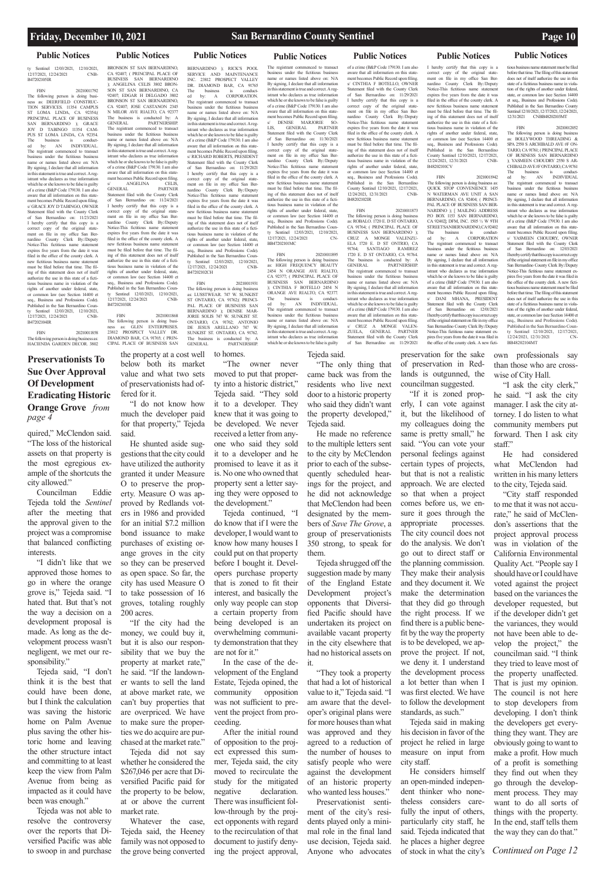ty Sentinel 12/03/2021, 12/10/2021, 12/17/2021, 12/24/2021 CNB-B47202105IR

FBN 20210011858 The following person is doing business as: HACIENDA GARDEN DECOR. 3802

FBN 20210011792 The following person is doing busi-ness as: DEERFIELD CONSTRUC-TION SERVICES. 11354 CAMPUS ST LOMA LINDA, CA 92354;( PRINCIPAL PLACE OF BUSINESS<br>SAN BERNARDINO ); GRACE SAN BERNARDINO ); GRACE JOY D TABINGO 11354 CAM-PUS ST LOMA LINDA, CA 92354. The business is conduct-ed by: AN INDIVIDUAL. The registrant commenced to transact business under the fictitious business name or names listed above on: N/A By signing, I declare that all information  $\frac{1}{2}$  in this statement is true and correct. A registrant who declares as true information which he or she knows to be false is guilty of a crime (B&P Code 179130. I am also aware that all information on this statement becomes Public Record upon filing s/ GRACE JOY D TABINGO, OWNER Statement filed with the County Clerk of San Bernardino on: 11/23/2021 I hereby certify that this copy is a correct copy of the original state-ment on file in my office San Ber-nardino County Clerk By:/Deputy Notice-This fictitious name statement expires five years from the date it was filed in the office of the county clerk. A new fictitious business name statement must be filed before that time. The filing of this statement does not of itself authorize the use in this state of a fictitious business name in violation of the rights of another under federal, or common law (see Section 14400 et seq., Business and Professions Code). Published in the San Bernardino County Sentinel 12/03/2021, 12/10/2021, 12/17/2021, 12/24/2021 CNB-

B47202104IR

BERNARDINO ); RICK'S POOL SERVICE AND MAINTENANCE INC. 23812 PROSPECT VALLEY DR. DIAMOND BAR, CA 91765<br>The business is conductbusiness is<br>by: A CO A CORPORATION. The registrant commenced to transact business under the fictitious business name or names listed above on: N/A By signing, I declare that all information in this statement is true and correct. A registrant who declares as true information which he or she knows to be false is guilty of a crime (B&P Code 179130. I am also aware that all information on this statement becomes Public Record upon filing. s/ RICHARD ROBERTS, PRESIDENT Statement filed with the County Clerk of San Bernardino on: 11/29/2021 I hereby certify that this copy is a correct copy of the original state-ment on file in my office San Bernardino County Clerk By:/Deputy Notice-This fictitious name statement expires five years from the date it was filed in the office of the county clerk. A new fictitious business name statement must be filed before that time. The filing of this statement does not of itself authorize the use in this state of a fictisiness name in violation of the rights of another under federal, state, or common law (see Section 14400 et seq., Business and Professions Code). Published in the San Bernardino County Sentinel 12/03/2021, 12/10/2021, ty Sentinel 12/03/2021, 12/10/2021,<br>12/17/2021, 12/24/2021 CNB-

# **Public Notices Public Notices Public Notices Public Notices Public Notices Public Notices Public Notices**

FBN 20210011931 The following person is doing business as: LUSSTWEAR. 747 W. SUNKIST ST ONTARIO, CA 91762;( PRINCI-PAL PLACE OF BUSINESS SAN BERNARDINO ); DENISE MAR-JORIE SOLIS 747 W. SUNKIST ST. ONTARIO, CA 91762; ANTONIO DE JESUS ARELLANO 747 W. SUNKIST ST. ONTARIO, CA 91762.<br>The business is conducted by: A The business is conducted by: A<br>GENERAL PARTNERSHIP. REGULA By: 71

12/17/2021, 12/24/2021 CNB-

 $D$ 47202103ID

BRONSON ST SAN BERNARDINO, CA 92407; ( PRINCIPAL PLACE OF BUSINESS SAN BERNARDINO ); ANGELINA CELIS 3802 BRON-SON ST SAN BERNARDINO, CA 92407; EDGAR H DELGADO 3802 BRONSON ST SAN BERNARDINO, CA 92407; JOSE CASTANON 2345 N MILOR AVE RIALTO, CA 92377 The business is conducted by: A<br>GENERAL PARTNERSHIP. PARTNERSHIP. The registrant commenced to transact business under the fictitious business name or names listed above on: N/A By signing, I declare that all information in this statement is true and correct. A reg-istrant who declares as true information which he or she knows to be false is guilty of a crime (B&P Code 179130. I am also aware that all information on this statement becomes Public Record upon filing. s/ ANGELINA CELIS, GENERAL PARTNER Statement filed with the County Clerk of San Bernardino on: 11/24/2021 I hereby certify that this copy is a correct copy of the original statement on file in my office San Ber-nardino County Clerk By:/Deputy Notice-This fictitious name statement expires five years from the date it was filed in the office of the county clerk. A new fictitious business name statement must be filed before that time. The filing of this statement does not of itself authorize the use in this state of a fictitious business name in violation of the rights of another under federal, state, or common law (see Section 14400 et seq., Business and Professions Code). Published in the San Bernardino Coun-ty Sentinel 12/03/2021, 12/10/2021, B47202102CH

FBN 20210011868 The following person is doing business as: GLEN ENTERPRISES. 23812 PROSPECT VALLEY DR. DIAMOND BAR, CA 91765; ( PRIN-CIPAL PLACE OF BUSINESS SAN

20210011895 The following person is doing business as: HIGH FREQUENCY BEAUTY 2454 N ORANGE AVE RIALTO, CA 92377; ( PRINCIPAL PLACE OF BUSINESS SAN BERNARDINO ); CINTHIA F BOTELLO 2454 N ORANGE AVE RIALTO, CA 92377.<br>The business is conduct-The business is conduct-ed by: AN INDIVIDUAL. The registrant commenced to transact business under the fictitious business name or names listed above on: N/A By signing, I declare that all information in this statement is true and correct. A registrant who declares as true information which he or she knows to be false is guilty

expires five years from the date it was filed in the office of the county clerk. A new fictitious business name statement must be filed before that time. The filing of this statement does not of itself authorize the use in this state of a fictitious business name in violation of the rights of another under federal, state, or common law (see Section 14400 et seq., Business and Professions Code). Published in the San Bernardino

The registrant commenced to transact business under the fictitious business name or names listed above on: N/A By signing, I declare that all information in this statement is true and correct. A registrant who declares as true information which he or she knows to be false is guilty of a crime (B&P Code 179130. I am also aware that all information on this statement becomes Public Record upon filing. s/ DENISE MARJORIE SO-LIS, GENERAL PARTNER Statement filed with the County Clerk of San Bernardino on: 11/30/2021 I hereby certify that this copy is a correct copy of the original statement on file in my office San Ber-nardino County Clerk By:/Deputy Notice-This fictitious name statement expires five years from the date it was filed in the office of the county clerk. A new fictitious business name statement must be filed before that time. The filing of this statement does not of itself authorize the use in this state of a fictitious business name in violation of the rights of another under federal, state or common law (see Section 14400 et seq., Business and Professions Code). Published in the San Bernardino County Sentinel 12/03/2021, 12/10/2021,<br>12/17/2021. 12/24/2021 CN-12/17/2021, 12/24/2021 BB47202101MC

of a crime (B&P Code 179130. I am also aware that all information on this state-ment becomes Public Record upon filing.  $s$ / CINTHIA F BOTELLO, OWNER Statement filed with the County Clerk of San Bernardino on: 11/29/2021 I hereby certify that this copy is a correct copy of the original state-ment on file in my office San Ber-nardino County Clerk By:/Deputy Notice-This fictitious name statement



value to it," Tejeda said. "I am aware that the developer's original plans were for more houses than what was approved and they agreed to a reduction of the number of houses to satisfy people who were against the development of an historic property who wanted less houses." Preservationist sentiment of the city's residents played only a minimal role in the final land use decision, Tejeda said. Anyone who advocates



I hereby certify that this copy is a correct copy of the original state-ment on file in my office San Bernardino County Clerk By:/Deputy Notice-This fictitious name statement expires five years from the date it was filed in the office of the county clerk. A new fictitious business name statement must be filed before that time. The filing of this statement does not of itself authorize the use in this state of a fictitious business name in violation of the rights of another under federal, state, or common law (see Section 14400 et seq., Business and Professions Code). Published in the San Bernardino County Sentinel 12/10/2021, 12/17/2021, 12/24/2021, 12/31/2021 CNB-B48202101CV

FBN 20210011942 The following person is doing business as: QUICK STOP CONVENIENCE 1435 N WATERMAN AVE UNIT A SAN BERNARDINO, CA 92404; ( PRINCI-PAL PLACE OF BUSINESS SAN BER-NARDINO ); [ MAILING ADDRESS P.O BOX 1153 SAN BERNARDINO, CA 92402]; DFM, INC. 1505 ½ W 9TH STREET SAN BERNARDINO, CA 92402 The business is conducted by: A CORPORATION CORPORATION The registrant commenced to transact business under the fictitious business name or names listed above on: N/A By signing, I declare that all information in this statement is true and correct. A registrant who declares as true information which he or she knows to be false is guilty of a crime (B&P Code 179130. I am also aware that all information on this statement becomes Public Record upon filing. s/ DANI MHANA, PRESIDENT Statement filed with the County Clerk of San Bernardino on: 12/01/2021 I hereby certify that this copy is a correct copy of the original statement on file in my office San Bernardino County Clerk By:/Deputy Notice-This fictitious name statement expires five years from the date it was filed in the office of the county clerk. A new fictitious business name statement must be filed before that time. The filing of this statement does not of itself authorize the use in this state of a fictitious business name in violation of the rights of another under federal, state, or common law (see Section 14400 et seq., Business and Professions Code). Published in the San Bernardino County Sentinel 12/10/2021, 12/17/2021, 12/24/2021<br>12/31/2021 CNBB48202103MT 12/31/2021 CNBB48202103MT

FBN 20210012052 The following person is doing business as: BOLLYWOOD THREADING & SPA 2550 S ARCHIBALD AVE #F ON-TARIO, CA 91761; ( PRINCIPAL PLACE OF BUSINESS SAN BERNARDINO ); YASMEEN CHOUDRY 2550 S AR-CHIBALD AVE #F ONTARIO, CA 91761 The business is conduct-ed by: AN INDIVIDUAL The registrant commenced to transact business under the fictitious business name or names listed above on: N/A By signing, I declare that all information in this statement is true and correct. A registrant who declares as true information which he or she knows to be false is guilty of a crime (B&P Code 179130. I am also aware that all information on this statement becomes Public Record upon filing. s/ YASMEEN CHOUDRY, OWNER Statement filed with the County Clerk of San Bernardino on: 12/03/2021 I hereby certify that this copy is a correct copy of the original statement on file in my office San Bernardino County Clerk By:/Deputy Notice-This fictitious name statement expires five years from the date it was filed in the office of the county clerk. A new fictitious business name statement must be filed before that time. The filing of this statement does not of itself authorize the use in this state of a fictitious business name in violation of the rights of another under federal, state, or common law (see Section 14400 et seq., Business and Professions Code). Published in the San Bernardino County Sentinel 12/10/2021, 12/17/2021, 12/24/2021, 12/31/2021 CN-BB48202104MT

*Continued on Page 12*

## **Preservationists To Sue Over Approval Of Development Eradicating Historic Orange Grove** *from page 4*

quired," McClendon said. "The loss of the historical assets on that property is the most egregious example of the shortcuts the city allowed."

Councilman Eddie Tejeda told the *Sentinel* after the meeting that the approval given to the project was a compromise that balanced conflicting interests.

"I didn't like that we approved those homes to go in where the orange grove is," Tejeda said. "I hated that. But that's not the way a decision on a development proposal is made. As long as the development process wasn't negligent, we met our responsibility."

Tejeda said, "I don't think it is the best that

could have been done, but I think the calculation was saving the historic home on Palm Avenue plus saving the other historic home and leaving the other structure intact and committing to at least keep the view from Palm Avenue from being as impacted as it could have been was enough."

Tejeda was not able to resolve the controversy over the reports that Diversified Pacific was able to swoop in and purchase

the property at a cost well below both its market value and what two sets of preservationists had offered for it.

"I do not know how much the developer paid for that property," Tejeda said.

He shunted aside suggestions that the city could have utilized the authority granted it under Measure O to preserve the property. Measure O was approved by Redlands voters in 1986 and provided for an initial \$7.2 million bond issuance to make purchases of existing orange groves in the city so they can be preserved as open space. So far, the city has used Measure O to take possession of 16 groves, totaling roughly 200 acres.

"If the city had the money, we could buy it, but it is also our responsibility that we buy the property at market rate," he said. "If the landowner wants to sell the land at above market rate, we can't buy properties that are overpriced. We have to make sure the properties we do acquire are purchased at the market rate." Tejeda did not say whether he considered the \$267,046 per acre that Diversified Pacific paid for the property to be below, at or above the current market rate. Whatever the case, Tejeda said, the Heeney family was not opposed to the grove being converted

to homes.

"The owner never moved to put that property into a historic district," Tejeda said. "They sold it to a developer. They knew that it was going to be developed. We never received a letter from anyone who said they sold it to a developer and he promised to leave it as it is. No one who owned that property sent a letter saying they were opposed to the development."

Tejeda continued, "I do know that if I were the developer, I would want to know how many houses I could put on that property before I bought it. Developers purchase property that is zoned to fit their interest, and basically the only way people can stop a certain property from being developed is an overwhelming community demonstration that they are not for it."

In the case of the development of the England Estate, Tejeda opined, the

community opposition was not sufficient to prevent the project from proceeding.

After the initial round of opposition to the project expressed this summer, Tejeda said, the city moved to recirculate the study for the mitigated negative declaration. There was insufficient follow-through by the project opponents with regard to the recirculation of that document to justify denying the project approval,

Tejeda said.

"The only thing that came back was from the residents who live next door to a historic property who said they didn't want the property developed," Tejeda said.

He made no reference to the multiple letters sent to the city by McClendon prior to each of the subsequently scheduled hearings for the project, and he did not acknowledge that McClendon had been designated by the members of *Save The Grove*, a group of preservationists 350 strong, to speak for them.

Tejeda shrugged off the suggestion made by many of the England Estate Development project's opponents that Diversified Pacific should have undertaken its project on available vacant property in the city elsewhere that had no historical assets on it.

"They took a property that had a lot of historical

preservation for the sake of preservation in Redlands is outgunned, the councilman suggested.

"If it is zoned properly, I can vote against it, but the likelihood of my colleagues doing the same is pretty small," he said. "You can vote your personal feelings against certain types of projects, but that is not a realistic approach. We are elected so that when a project comes before us, we ensure it goes through the appropriate processes. The city council does not do the analysis. We don't go out to direct staff or the planning commission. They make their analysis and they document it. We make the determination that they did go through the right process. If we find there is a public benefit by the way the property is to be developed, we approve the project. If not, we deny it. I understand the development process a lot better than when I

was first elected. We have to follow the development standards, as such."

Tejeda said in making his decision in favor of the project he relied in large measure on input from city staff.

He considers himself an open-minded independent thinker who nonetheless considers carefully the input of others, particularly city staff, he said. Tejeda indicated that he places a higher degree of stock in what the city's

own professionals say than those who are crosswise of City Hall.

"I ask the city clerk," he said. "I ask the city manager. I ask the city attorney. I do listen to what community members put forward. Then I ask city staff."

He had considered what McClendon had written in his many letters to the city, Tejeda said.

"City staff responded to me that it was not accurate," he said of McClendon's assertions that the project approval process was in violation of the California Environmental Quality Act. "People say I should have or I could have voted against the project based on the variances the developer requested, but if the developer didn't get the variances, they would not have been able to develop the project," the councilman said. "I think they tried to leave most of the property unaffected. That is just my opinion. The council is not here to stop developers from developing. I don't think the developers get everything they want. They are obviously going to want to make a profit. How much of a profit is something they find out when they go through the development process. They may want to do all sorts of things with the property. In the end, staff tells them the way they can do that."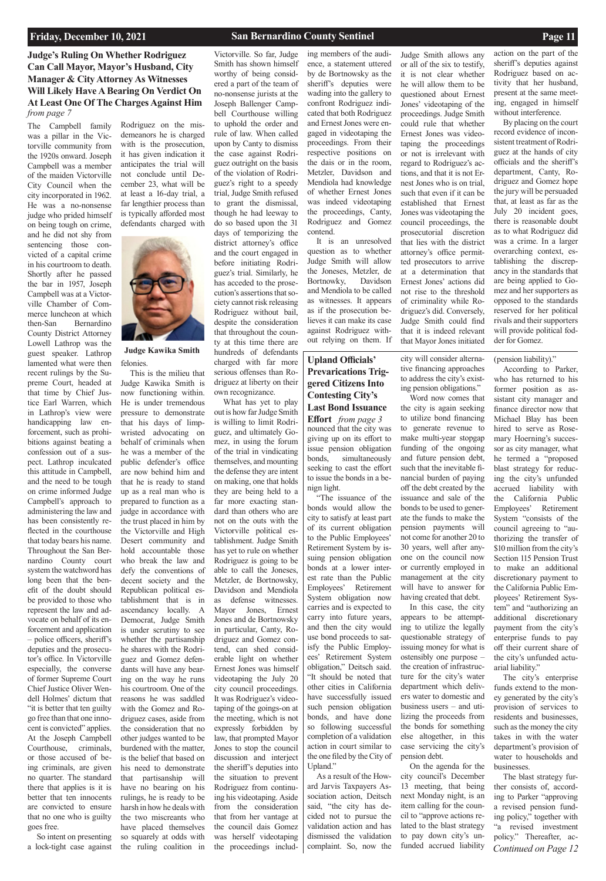The Campbell family was a pillar in the Victorville community from the 1920s onward. Joseph Campbell was a member of the maiden Victorville City Council when the city incorporated in 1962. He was a no-nonsense judge who prided himself on being tough on crime, and he did not shy from sentencing those convicted of a capital crime in his courtroom to death. Shortly after he passed the bar in 1957, Joseph Campbell was at a Victorville Chamber of Commerce luncheon at which then-San Bernardino County District Attorney Lowell Lathrop was the guest speaker. Lathrop lamented what were then recent rulings by the Supreme Court, headed at that time by Chief Justice Earl Warren, which in Lathrop's view were handicapping law enforcement, such as prohibitions against beating a confession out of a suspect. Lathrop inculcated this attitude in Campbell, and the need to be tough on crime informed Judge Campbell's approach to administering the law and has been consistently reflected in the courthouse that today bears his name. Throughout the San Bernardino County court system the watchword has long been that the benefit of the doubt should be provided to those who represent the law and advocate on behalf of its enforcement and application – police officers, sheriff's deputies and the prosecutor's office. In Victorville especially, the converse of former Supreme Court Chief Justice Oliver Wendell Holmes' dictum that "it is better that ten guilty go free than that one innocent is convicted" applies. At the Joseph Campbell Courthouse, criminals, or those accused of being criminals, are given no quarter. The standard there that applies is it is better that ten innocents are convicted to ensure that no one who is guilty goes free.

So intent on presenting a lock-tight case against

Rodriguez on the misdemeanors he is charged with is the prosecution, it has given indication it anticipates the trial will not conclude until December 23, what will be at least a 16-day trial, a far lengthier process than is typically afforded most defendants charged with

Victorville. So far, Judge Smith has shown himself

### worthy of being considered a part of the team of no-nonsense jurists at the Joseph Ballenger Campbell Courthouse willing to uphold the order and rule of law. When called upon by Canty to dismiss the case against Rodriguez outright on the basis of the violation of Rodriguez's right to a speedy trial, Judge Smith refused to grant the dismissal, though he had leeway to do so based upon the 31 days of temporizing the district attorney's office and the court engaged in before initiating Rodriguez's trial. Similarly, he has acceded to the prosecution's assertions that society cannot risk releasing Rodriguez without bail, despite the consideration that throughout the county at this time there are hundreds of defendants charged with far more

serious offenses than Rodriguez at liberty on their own recognizance.

What has yet to play out is how far Judge Smith is willing to limit Rodriguez, and ultimately Gomez, in using the forum of the trial in vindicating themselves, and mounting the defense they are intent on making, one that holds they are being held to a far more exacting standard than others who are not on the outs with the Victorville political establishment. Judge Smith has yet to rule on whether Rodriguez is going to be able to call the Joneses, Metzler, de Bortnowsky, Davidson and Mendiola as defense witnesses. Mayor Jones, Ernest Jones and de Bortnowsky in particular, Canty, Rodriguez and Gomez contend, can shed considerable light on whether Ernest Jones was himself videotaping the July 20 city council proceedings. It was Rodriguez's videotaping of the goings-on at the meeting, which is not expressly forbidden by law, that prompted Mayor Jones to stop the council discussion and interject the sheriff's deputies into the situation to prevent Rodriguez from continuing his videotaping. Aside from the consideration that from her vantage at the council dais Gomez was herself videotaping the proceedings includ-

ing members of the audience, a statement uttered by de Bortnowsky as the sheriff's deputies were wading into the gallery to confront Rodriguez indicated that both Rodriguez and Ernest Jones were engaged in videotaping the proceedings. From their respective positions on the dais or in the room, Metzler, Davidson and Mendiola had knowledge of whether Ernest Jones was indeed videotaping the proceedings, Canty, Rodriguez and Gomez contend.

It is an unresolved question as to whether Judge Smith will allow the Joneses, Metzler, de Bortnowky, Davidson and Mendiola to be called as witnesses. It appears as if the prosecution believes it can make its case against Rodriguez without relying on them. If

> *Continued on Page 12* The city's enterprise funds extend to the money generated by the city's provision of services to residents and businesses, such as the money the city takes in with the water department's provision of water to households and businesses. The blast strategy further consists of, according to Parker "approving a revised pension funding policy," together with "a revised investment policy." Thereafter, ac-

Judge Smith allows any or all of the six to testify, it is not clear whether he will allow them to be questioned about Ernest Jones' videotaping of the proceedings. Judge Smith could rule that whether Ernest Jones was videotaping the proceedings or not is irrelevant with regard to Rodriguez's actions, and that it is not Ernest Jones who is on trial, such that even if it can be established that Ernest Jones was videotaping the council proceedings, the prosecutorial discretion that lies with the district attorney's office permitted prosecutors to arrive at a determination that Ernest Jones' actions did not rise to the threshold of criminality while Rodriguez's did. Conversely, Judge Smith could find that it is indeed relevant that Mayor Jones initiated

action on the part of the sheriff's deputies against Rodriguez based on activity that her husband, present at the same meeting, engaged in himself without interference.

By placing on the court record evidence of inconsistent treatment of Rodriguez at the hands of city officials and the sheriff's department, Canty, Rodriguez and Gomez hope the jury will be persuaded that, at least as far as the July 20 incident goes, there is reasonable doubt as to what Rodriguez did was a crime. In a larger overarching context, establishing the discrepancy in the standards that are being applied to Gomez and her supporters as opposed to the standards reserved for her political rivals and their supporters will provide political fodder for Gomez.

"The issuance of the bonds would allow the city to satisfy at least part of its current obligation to the Public Employees' Retirement System by issuing pension obligation bonds at a lower interest rate than the Public Employees' Retirement System obligation now carries and is expected to carry into future years, and then the city would use bond proceeds to satisfy the Public Employees' Retirement System obligation," Deitsch said. "It should be noted that other cities in California have successfully issued such pension obligation bonds, and have done so following successful completion of a validation action in court similar to the one filed by the City of Upland." As a result of the Howard Jarvis Taxpayers Association action, Deitsch said, "the city has decided not to pursue the validation action and has dismissed the validation complaint. So, now the

city will consider alternative financing approaches to address the city's existing pension obligations."

Word now comes that the city is again seeking to utilize bond financing to generate revenue to make multi-year stopgap funding of the ongoing and future pension debt, such that the inevitable financial burden of paying off the debt created by the issuance and sale of the bonds to be used to generate the funds to make the pension payments will not come for another 20 to 30 years, well after anyone on the council now or currently employed in management at the city will have to answer for having created that debt.

nounced that the city was giving up on its effort to issue pension obligation bonds, simultaneously seeking to cast the effort to issue the bonds in a benign light. **Effort** *from page 3*

> In this case, the city appears to be attempting to utilize the legally questionable strategy of issuing money for what is ostensibly one purpose – the creation of infrastructure for the city's water department which delivers water to domestic and business users – and utilizing the proceeds from the bonds for something else altogether, in this case servicing the city's pension debt. On the agenda for the city council's December 13 meeting, that being next Monday night, is an item calling for the council to "approve actions related to the blast strategy to pay down city's unfunded accrued liability

### (pension liability)."

According to Parker, who has returned to his former position as assistant city manager and finance director now that Michael Blay has been hired to serve as Rosemary Hoerning's successor as city manager, what he termed a "proposed blast strategy for reducing the city's unfunded accrued liability with the California Public Employees' Retirement System "consists of the council agreeing to "authorizing the transfer of \$10 million from the city's Section 115 Pension Trust to make an additional discretionary payment to the California Public Employees' Retirement System" and "authorizing an additional discretionary payment from the city's enterprise funds to pay off their current share of the city's unfunded actuarial liability."

### **Judge's Ruling On Whether Rodriguez Can Call Mayor, Mayor's Husband, City Manager & City Attorney As Witnesses Will Likely Have A Bearing On Verdict On At Least One Of The Charges Against Him**  *from page 7*

## **Upland Officials' Prevarications Triggered Citizens Into Contesting City's Last Bond Issuance**

This is the milieu that Judge Kawika Smith is now functioning within. He is under tremendous pressure to demonstrate that his days of limpwristed advocating on behalf of criminals when he was a member of the public defender's office are now behind him and that he is ready to stand up as a real man who is prepared to function as a judge in accordance with the trust placed in him by the Victorville and High Desert community and hold accountable those who break the law and defy the conventions of decent society and the Republican political establishment that is in ascendancy locally. A Democrat, Judge Smith is under scrutiny to see whether the partisanship he shares with the Rodriguez and Gomez defendants will have any bearing on the way he runs his courtroom. One of the reasons he was saddled with the Gomez and Rodriguez cases, aside from the consideration that no other judges wanted to be burdened with the matter, is the belief that based on his need to demonstrate that partisanship will have no bearing on his rulings, he is ready to be harsh in how he deals with the two miscreants who have placed themselves so squarely at odds with the ruling coalition in



felonies. **Judge Kawika Smith**